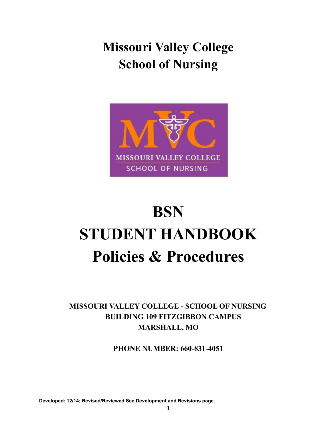**Missouri Valley College School of Nursing**



# **BSN STUDENT HANDBOOK Policies & Procedures**

**MISSOURI VALLEY COLLEGE - SCHOOL OF NURSING BUILDING 109 FITZGIBBON CAMPUS MARSHALL, MO**

**PHONE NUMBER: 660-831-4051**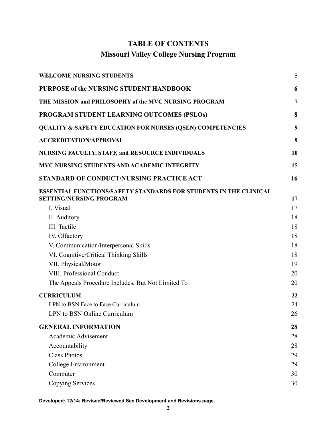# **TABLE OF CONTENTS Missouri Valley College Nursing Program**

| <b>WELCOME NURSING STUDENTS</b>                                          | 5        |
|--------------------------------------------------------------------------|----------|
| PURPOSE of the NURSING STUDENT HANDBOOK                                  | 6        |
| THE MISSION and PHILOSOPHY of the MVC NURSING PROGRAM                    | 7        |
| PROGRAM STUDENT LEARNING OUTCOMES (PSLOs)                                | 8        |
| <b>QUALITY &amp; SAFETY EDUCATION FOR NURSES (QSEN) COMPETENCIES</b>     | 9        |
| <b>ACCREDITATION/APPROVAL</b>                                            | 9        |
| <b>NURSING FACULTY, STAFF, and RESOURCE INDIVIDUALS</b>                  | 10       |
| <b>MVC NURSING STUDENTS AND ACADEMIC INTEGRITY</b>                       | 15       |
| STANDARD OF CONDUCT/NURSING PRACTICE ACT                                 | 16       |
| <b>ESSENTIAL FUNCTIONS/SAFETY STANDARDS FOR STUDENTS IN THE CLINICAL</b> |          |
| <b>SETTING/NURSING PROGRAM</b><br>I. Visual                              | 17<br>17 |
| II. Auditory                                                             | 18       |
| III. Tactile                                                             | 18       |
| IV. Olfactory                                                            | 18       |
| V. Communication/Interpersonal Skills                                    | 18       |
| VI. Cognitive/Critical Thinking Skills                                   | 18       |
| VII. Physical/Motor                                                      | 19       |
| VIII. Professional Conduct                                               | 20       |
| The Appeals Procedure Includes, But Not Limited To                       | 20       |
| <b>CURRICULUM</b>                                                        | 22       |
| LPN to BSN Face to Face Curriculum                                       | 24       |
| LPN to BSN Online Curriculum                                             | 26       |
| <b>GENERAL INFORMATION</b>                                               | 28       |
| Academic Advisement                                                      | 28       |
| Accountability                                                           | 28       |
| <b>Class Photos</b>                                                      | 29       |
| College Environment                                                      | 29       |
| Computer                                                                 | 30       |
| Copying Services                                                         | 30       |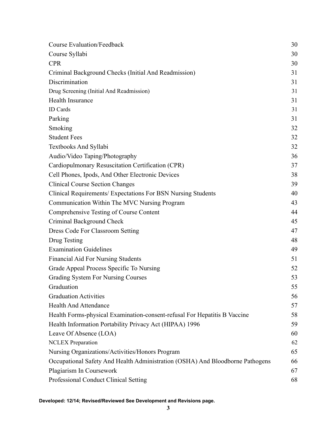| <b>Course Evaluation/Feedback</b>                                             | 30 |
|-------------------------------------------------------------------------------|----|
| Course Syllabi                                                                | 30 |
| <b>CPR</b>                                                                    | 30 |
| Criminal Background Checks (Initial And Readmission)                          | 31 |
| Discrimination                                                                | 31 |
| Drug Screening (Initial And Readmission)                                      | 31 |
| Health Insurance                                                              | 31 |
| <b>ID</b> Cards                                                               | 31 |
| Parking                                                                       | 31 |
| Smoking                                                                       | 32 |
| <b>Student Fees</b>                                                           | 32 |
| <b>Textbooks And Syllabi</b>                                                  | 32 |
| Audio/Video Taping/Photography                                                | 36 |
| Cardiopulmonary Resuscitation Certification (CPR)                             | 37 |
| Cell Phones, Ipods, And Other Electronic Devices                              | 38 |
| <b>Clinical Course Section Changes</b>                                        | 39 |
| Clinical Requirements/ Expectations For BSN Nursing Students                  | 40 |
| Communication Within The MVC Nursing Program                                  | 43 |
| Comprehensive Testing of Course Content                                       | 44 |
| Criminal Background Check                                                     | 45 |
| Dress Code For Classroom Setting                                              | 47 |
| Drug Testing                                                                  | 48 |
| <b>Examination Guidelines</b>                                                 | 49 |
| <b>Financial Aid For Nursing Students</b>                                     | 51 |
| Grade Appeal Process Specific To Nursing                                      | 52 |
| Grading System For Nursing Courses                                            | 53 |
| Graduation                                                                    | 55 |
| <b>Graduation Activities</b>                                                  | 56 |
| <b>Health And Attendance</b>                                                  | 57 |
| Health Forms-physical Examination-consent-refusal For Hepatitis B Vaccine     | 58 |
| Health Information Portability Privacy Act (HIPAA) 1996                       | 59 |
| Leave Of Absence (LOA)                                                        | 60 |
| <b>NCLEX</b> Preparation                                                      | 62 |
| Nursing Organizations/Activities/Honors Program                               | 65 |
| Occupational Safety And Health Administration (OSHA) And Bloodborne Pathogens | 66 |
| Plagiarism In Coursework                                                      | 67 |
| Professional Conduct Clinical Setting                                         | 68 |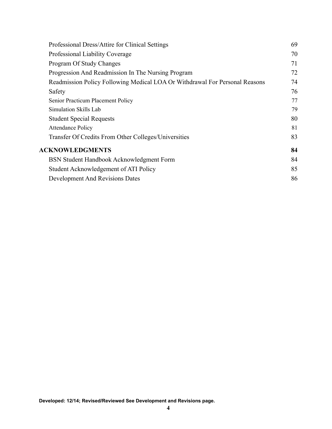| Professional Dress/Attire for Clinical Settings                             | 69 |
|-----------------------------------------------------------------------------|----|
| Professional Liability Coverage                                             | 70 |
| Program Of Study Changes                                                    | 71 |
| Progression And Readmission In The Nursing Program                          | 72 |
| Readmission Policy Following Medical LOA Or Withdrawal For Personal Reasons | 74 |
| Safety                                                                      | 76 |
| Senior Practicum Placement Policy                                           | 77 |
| Simulation Skills Lab                                                       | 79 |
| <b>Student Special Requests</b>                                             | 80 |
| <b>Attendance Policy</b>                                                    | 81 |
| Transfer Of Credits From Other Colleges/Universities                        | 83 |
| <b>ACKNOWLEDGMENTS</b>                                                      | 84 |
| BSN Student Handbook Acknowledgment Form                                    | 84 |
| Student Acknowledgement of ATI Policy                                       | 85 |
| <b>Development And Revisions Dates</b>                                      | 86 |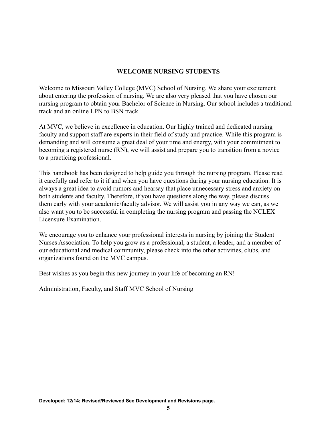## **WELCOME NURSING STUDENTS**

<span id="page-4-0"></span>Welcome to Missouri Valley College (MVC) School of Nursing. We share your excitement about entering the profession of nursing. We are also very pleased that you have chosen our nursing program to obtain your Bachelor of Science in Nursing. Our school includes a traditional track and an online LPN to BSN track.

At MVC, we believe in excellence in education. Our highly trained and dedicated nursing faculty and support staff are experts in their field of study and practice. While this program is demanding and will consume a great deal of your time and energy, with your commitment to becoming a registered nurse (RN), we will assist and prepare you to transition from a novice to a practicing professional.

This handbook has been designed to help guide you through the nursing program. Please read it carefully and refer to it if and when you have questions during your nursing education. It is always a great idea to avoid rumors and hearsay that place unnecessary stress and anxiety on both students and faculty. Therefore, if you have questions along the way, please discuss them early with your academic/faculty advisor. We will assist you in any way we can, as we also want you to be successful in completing the nursing program and passing the NCLEX Licensure Examination.

We encourage you to enhance your professional interests in nursing by joining the Student Nurses Association. To help you grow as a professional, a student, a leader, and a member of our educational and medical community, please check into the other activities, clubs, and organizations found on the MVC campus.

Best wishes as you begin this new journey in your life of becoming an RN!

Administration, Faculty, and Staff MVC School of Nursing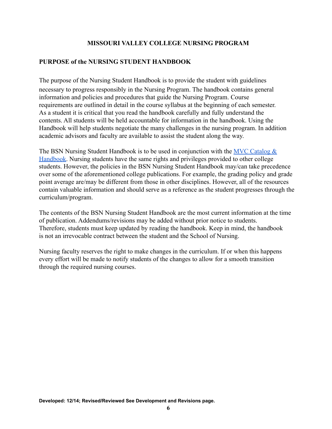## **MISSOURI VALLEY COLLEGE NURSING PROGRAM**

## <span id="page-5-0"></span>**PURPOSE of the NURSING STUDENT HANDBOOK**

The purpose of the Nursing Student Handbook is to provide the student with guidelines necessary to progress responsibly in the Nursing Program. The handbook contains general information and policies and procedures that guide the Nursing Program. Course requirements are outlined in detail in the course syllabus at the beginning of each semester. As a student it is critical that you read the handbook carefully and fully understand the contents. All students will be held accountable for information in the handbook. Using the Handbook will help students negotiate the many challenges in the nursing program. In addition academic advisors and faculty are available to assist the student along the way.

The BSN Nursing Student Handbook is to be used in conjunction with the MVC Catalog  $\&$ [Handbook.](https://www.moval.edu/academics/academic-catalog/) Nursing students have the same rights and privileges provided to other college students. However, the policies in the BSN Nursing Student Handbook may/can take precedence over some of the aforementioned college publications. For example, the grading policy and grade point average are/may be different from those in other disciplines. However, all of the resources contain valuable information and should serve as a reference as the student progresses through the curriculum/program.

The contents of the BSN Nursing Student Handbook are the most current information at the time of publication. Addendums/revisions may be added without prior notice to students. Therefore, students must keep updated by reading the handbook. Keep in mind, the handbook is not an irrevocable contract between the student and the School of Nursing.

Nursing faculty reserves the right to make changes in the curriculum. If or when this happens every effort will be made to notify students of the changes to allow for a smooth transition through the required nursing courses.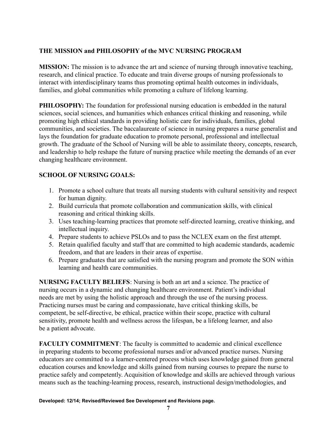## <span id="page-6-0"></span>**THE MISSION and PHILOSOPHY of the MVC NURSING PROGRAM**

**MISSION:** The mission is to advance the art and science of nursing through innovative teaching, research, and clinical practice. To educate and train diverse groups of nursing professionals to interact with interdisciplinary teams thus promoting optimal health outcomes in individuals, families, and global communities while promoting a culture of lifelong learning.

**PHILOSOPHY:** The foundation for professional nursing education is embedded in the natural sciences, social sciences, and humanities which enhances critical thinking and reasoning, while promoting high ethical standards in providing holistic care for individuals, families, global communities, and societies. The baccalaureate of science in nursing prepares a nurse generalist and lays the foundation for graduate education to promote personal, professional and intellectual growth. The graduate of the School of Nursing will be able to assimilate theory, concepts, research, and leadership to help reshape the future of nursing practice while meeting the demands of an ever changing healthcare environment.

## **SCHOOL OF NURSING GOALS:**

- 1. Promote a school culture that treats all nursing students with cultural sensitivity and respect for human dignity.
- 2. Build curricula that promote collaboration and communication skills, with clinical reasoning and critical thinking skills.
- 3. Uses teaching-learning practices that promote self-directed learning, creative thinking, and intellectual inquiry.
- 4. Prepare students to achieve PSLOs and to pass the NCLEX exam on the first attempt.
- 5. Retain qualified faculty and staff that are committed to high academic standards, academic freedom, and that are leaders in their areas of expertise.
- 6. Prepare graduates that are satisfied with the nursing program and promote the SON within learning and health care communities.

**NURSING FACULTY BELIEFS**: Nursing is both an art and a science. The practice of nursing occurs in a dynamic and changing healthcare environment. Patient's individual needs are met by using the holistic approach and through the use of the nursing process. Practicing nurses must be caring and compassionate, have critical thinking skills, be competent, be self-directive, be ethical, practice within their scope, practice with cultural sensitivity, promote health and wellness across the lifespan, be a lifelong learner, and also be a patient advocate.

**FACULTY COMMITMENT**: The faculty is committed to academic and clinical excellence in preparing students to become professional nurses and/or advanced practice nurses. Nursing educators are committed to a learner-centered process which uses knowledge gained from general education courses and knowledge and skills gained from nursing courses to prepare the nurse to practice safely and competently. Acquisition of knowledge and skills are achieved through various means such as the teaching-learning process, research, instructional design/methodologies, and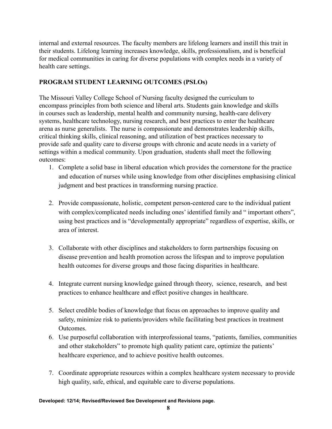internal and external resources. The faculty members are lifelong learners and instill this trait in their students. Lifelong learning increases knowledge, skills, professionalism, and is beneficial for medical communities in caring for diverse populations with complex needs in a variety of health care settings.

## <span id="page-7-0"></span>**PROGRAM STUDENT LEARNING OUTCOMES (PSLOs)**

The Missouri Valley College School of Nursing faculty designed the curriculum to encompass principles from both science and liberal arts. Students gain knowledge and skills in courses such as leadership, mental health and community nursing, health-care delivery systems, healthcare technology, nursing research, and best practices to enter the healthcare arena as nurse generalists. The nurse is compassionate and demonstrates leadership skills, critical thinking skills, clinical reasoning, and utilization of best practices necessary to provide safe and quality care to diverse groups with chronic and acute needs in a variety of settings within a medical community. Upon graduation, students shall meet the following outcomes:

- 1. Complete a solid base in liberal education which provides the cornerstone for the practice and education of nurses while using knowledge from other disciplines emphasising clinical judgment and best practices in transforming nursing practice.
- 2. Provide compassionate, holistic, competent person-centered care to the individual patient with complex/complicated needs including ones' identified family and " important others", using best practices and is "developmentally appropriate" regardless of expertise, skills, or area of interest.
- 3. Collaborate with other disciplines and stakeholders to form partnerships focusing on disease prevention and health promotion across the lifespan and to improve population health outcomes for diverse groups and those facing disparities in healthcare.
- 4. Integrate current nursing knowledge gained through theory, science, research, and best practices to enhance healthcare and effect positive changes in healthcare.
- 5. Select credible bodies of knowledge that focus on approaches to improve quality and safety, minimize risk to patients/providers while facilitating best practices in treatment Outcomes.
- 6. Use purposeful collaboration with interprofessional teams, "patients, families, communities and other stakeholders" to promote high quality patient care, optimize the patients' healthcare experience, and to achieve positive health outcomes.
- 7. Coordinate appropriate resources within a complex healthcare system necessary to provide high quality, safe, ethical, and equitable care to diverse populations.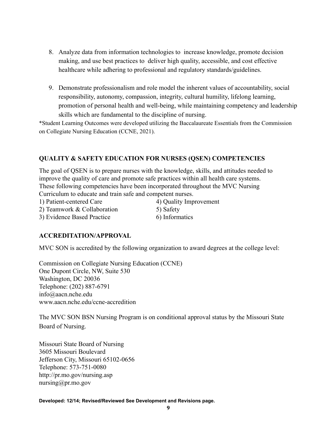- 8. Analyze data from information technologies to increase knowledge, promote decision making, and use best practices to deliver high quality, accessible, and cost effective healthcare while adhering to professional and regulatory standards/guidelines.
- 9. Demonstrate professionalism and role model the inherent values of accountability, social responsibility, autonomy, compassion, integrity, cultural humility, lifelong learning, promotion of personal health and well-being, while maintaining competency and leadership skills which are fundamental to the discipline of nursing.

\*Student Learning Outcomes were developed utilizing the Baccalaureate Essentials from the Commission on Collegiate Nursing Education (CCNE, 2021).

## <span id="page-8-0"></span>**QUALITY & SAFETY EDUCATION FOR NURSES (QSEN) COMPETENCIES**

The goal of QSEN is to prepare nurses with the knowledge, skills, and attitudes needed to improve the quality of care and promote safe practices within all health care systems. These following competencies have been incorporated throughout the MVC Nursing Curriculum to educate and train safe and competent nurses.

1) Patient-centered Care 4) Quality Improvement 2) Teamwork  $& Collaboration$  5) Safety 3) Evidence Based Practice 6) Informatics

## <span id="page-8-1"></span>**ACCREDITATION/APPROVAL**

MVC SON is accredited by the following organization to award degrees at the college level:

Commission on Collegiate Nursing Education (CCNE) One Dupont Circle, NW, Suite 530 Washington, DC 20036 Telephone: (202) 887-6791 info@aacn.nche.edu [www.aacn.nche.edu/ccne-accredition](http://www.aacn.nche.edu/ccne-accredition)

The MVC SON BSN Nursing Program is on conditional approval status by the Missouri State Board of Nursing.

Missouri State Board of Nursing 3605 Missouri Boulevard Jefferson City, Missouri 65102-0656 Telephone: 573-751-0080 <http://pr.mo.gov/nursing.asp> nursing@pr.mo.gov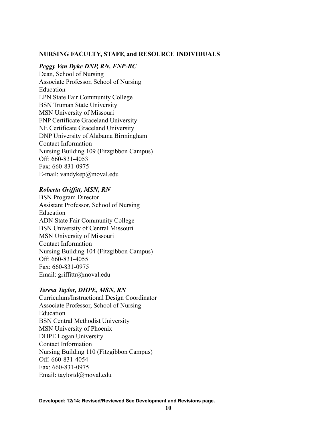#### <span id="page-9-0"></span>**NURSING FACULTY, STAFF, and RESOURCE INDIVIDUALS**

#### *Peggy Van Dyke DNP, RN, FNP-BC*

Dean, School of Nursing Associate Professor, School of Nursing Education LPN State Fair Community College BSN Truman State University MSN University of Missouri FNP Certificate Graceland University NE Certificate Graceland University DNP University of Alabama Birmingham Contact Information Nursing Building 109 (Fitzgibbon Campus) Off: 660-831-4053 Fax: 660-831-0975 E-mail: [vandykep@moval.edu](mailto:vandykep@moval.edu)

#### *Roberta Griffitt, MSN, RN*

BSN Program Director Assistant Professor, School of Nursing Education ADN State Fair Community College BSN University of Central Missouri MSN University of Missouri Contact Information Nursing Building 104 (Fitzgibbon Campus) Off: 660-831-4055 Fax: 660-831-0975 Email: griffittr@moval.edu

#### *Teresa Taylor, DHPE, MSN, RN*

Curriculum/Instructional Design Coordinator Associate Professor, School of Nursing Education BSN Central Methodist University MSN University of Phoenix DHPE Logan University Contact Information Nursing Building 110 (Fitzgibbon Campus) Off: 660-831-4054 Fax: 660-831-0975 Email: [taylortd@moval.edu](mailto:taylortd@moval.edu)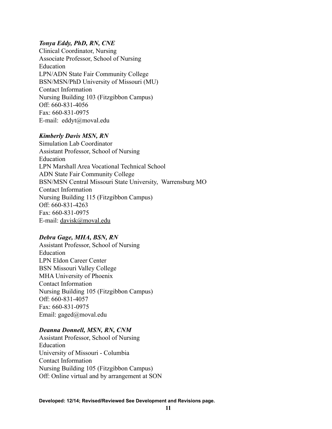## *Tonya Eddy, PhD, RN, CNE*

Clinical Coordinator, Nursing Associate Professor, School of Nursing Education LPN/ADN State Fair Community College BSN/MSN/PhD University of Missouri (MU) Contact Information Nursing Building 103 (Fitzgibbon Campus) Off: 660-831-4056 Fax: 660-831-0975 E-mail: eddyt[@moval.edu](mailto:eddyt@moval.edu)

#### *Kimberly Davis MSN, RN*

Simulation Lab Coordinator Assistant Professor, School of Nursing Education LPN Marshall Area Vocational Technical School ADN State Fair Community College BSN/MSN Central Missouri State University, Warrensburg MO Contact Information Nursing Building 115 (Fitzgibbon Campus) Off: 660-831-4263 Fax: 660-831-0975 E-mail: [davisk@moval.edu](https://mail.google.com/mail/?view=cm&fs=1&tf=1&to=email@moval.edu)

#### *Debra Gage, MHA, BSN, RN*

Assistant Professor, School of Nursing Education LPN Eldon Career Center BSN Missouri Valley College MHA University of Phoenix Contact Information Nursing Building 105 (Fitzgibbon Campus) Off: 660-831-4057 Fax: 660-831-0975 Email: gaged[@moval.edu](mailto:belld@moval.edu)

## *Deanna Donnell, MSN, RN, CNM*

Assistant Professor, School of Nursing Education University of Missouri - Columbia Contact Information Nursing Building 105 (Fitzgibbon Campus) Off: Online virtual and by arrangement at SON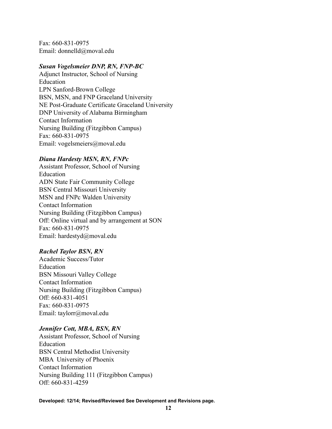Fax: 660-831-0975 Email: donnelld@moval.edu

#### *Susan Vogelsmeier DNP, RN, FNP-BC*

Adjunct Instructor, School of Nursing Education LPN Sanford-Brown College BSN, MSN, and FNP Graceland University NE Post-Graduate Certificate Graceland University DNP University of Alabama Birmingham Contact Information Nursing Building (Fitzgibbon Campus) Fax: 660-831-0975 Email: [vogelsmeiers@moval.edu](mailto:vogelsmeiers@moval.edu)

## *Diana Hardesty MSN, RN, FNPc*

Assistant Professor, School of Nursing Education ADN State Fair Community College BSN Central Missouri University MSN and FNPc Walden University Contact Information Nursing Building (Fitzgibbon Campus) Off: Online virtual and by arrangement at SON Fax: 660-831-0975 Email: [hardestyd@moval.edu](mailto:hardestyd@moval.edu)

## *Rachel Taylor BSN, RN*

Academic Success/Tutor Education BSN Missouri Valley College Contact Information Nursing Building (Fitzgibbon Campus) Off: 660-831-4051 Fax: 660-831-0975 Email: taylorr@moval.edu

#### *Jennifer Cott, MBA, BSN, RN*

Assistant Professor, School of Nursing Education BSN Central Methodist University MBA University of Phoenix Contact Information Nursing Building 111 (Fitzgibbon Campus) Off: 660-831-4259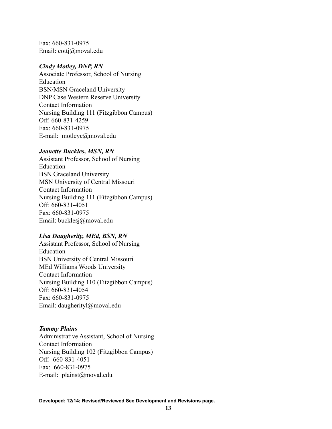Fax: 660-831-0975 Email: cottj@moval.edu

#### *Cindy Motley, DNP, RN*

Associate Professor, School of Nursing Education BSN/MSN Graceland University DNP Case Western Reserve University Contact Information Nursing Building 111 (Fitzgibbon Campus) Off: 660-831-4259 Fax: 660-831-0975 E-mail: motleyc[@moval.edu](mailto:eddyt@moval.edu)

## *Jeanette Buckles, MSN, RN*

Assistant Professor, School of Nursing Education BSN Graceland University MSN University of Central Missouri Contact Information Nursing Building 111 (Fitzgibbon Campus) Off: 660-831-4051 Fax: 660-831-0975 Email: bucklesj@moval.edu

## *Lisa Daugherity, MEd, BSN, RN*

Assistant Professor, School of Nursing Education BSN University of Central Missouri MEd Williams Woods University Contact Information Nursing Building 110 (Fitzgibbon Campus) Off: 660-831-4054 Fax: 660-831-0975 Email: daugherityl@moval.edu

## *Tammy Plains*

Administrative Assistant, School of Nursing Contact Information Nursing Building 102 (Fitzgibbon Campus) Off: 660-831-4051 Fax: 660-831-0975 E-mail: [plainst@moval.edu](mailto:plainst@moval.edu)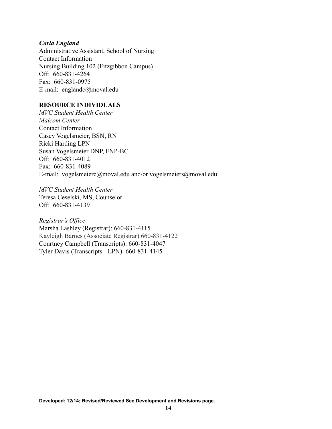#### *Carla England*

Administrative Assistant, School of Nursing Contact Information Nursing Building 102 (Fitzgibbon Campus) Off: 660-831-4264 Fax: 660-831-0975 E-mail: england[c@moval.edu](mailto:plainst@moval.edu)

## **RESOURCE INDIVIDUALS**

*MVC Student Health Center Malcom Center* Contact Information Casey Vogelsmeier, BSN, RN Ricki Harding LPN Susan Vogelsmeier DNP, FNP-BC Off: 660-831-4012 Fax: 660-831-4089 E-mail: [vogelsmeierc@moval.edu](mailto:vogelsmeiers@moval.edu) and/or vogelsmeier[s@moval.edu](mailto:weinreichd@moval.edu)

*MVC Student Health Center* Teresa Ceselski, MS, Counselor Off: 660-831-4139

*Registrar's Office:* Marsha Lashley (Registrar): 660-831-4115 Kayleigh Barnes (Associate Registrar) 660-831-4122 Courtney Campbell (Transcripts): 660-831-4047 Tyler Davis (Transcripts - LPN): 660-831-4145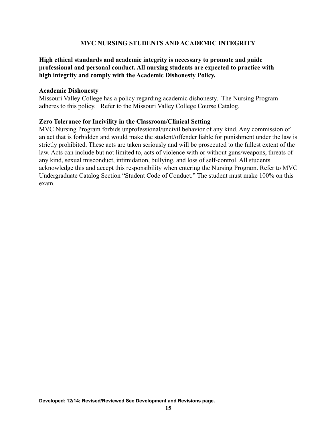## **MVC NURSING STUDENTS AND ACADEMIC INTEGRITY**

## <span id="page-14-0"></span>**High ethical standards and academic integrity is necessary to promote and guide professional and personal conduct. All nursing students are expected to practice with high integrity and comply with the Academic Dishonesty Policy.**

#### **Academic Dishonesty**

Missouri Valley College has a policy regarding academic dishonesty. The Nursing Program adheres to this policy. Refer to the Missouri Valley College Course Catalog.

## **Zero Tolerance for Incivility in the Classroom/Clinical Setting**

MVC Nursing Program forbids unprofessional/uncivil behavior of any kind. Any commission of an act that is forbidden and would make the student/offender liable for punishment under the law is strictly prohibited. These acts are taken seriously and will be prosecuted to the fullest extent of the law. Acts can include but not limited to, acts of violence with or without guns/weapons, threats of any kind, sexual misconduct, intimidation, bullying, and loss of self-control. All students acknowledge this and accept this responsibility when entering the Nursing Program. Refer to MVC Undergraduate Catalog Section "Student Code of Conduct." The student must make 100% on this exam.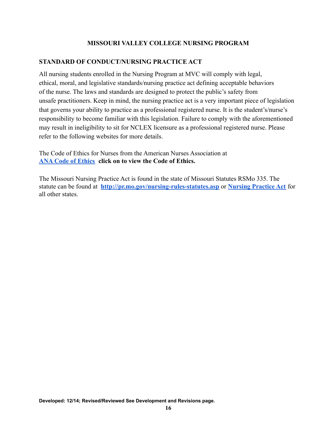## **MISSOURI VALLEY COLLEGE NURSING PROGRAM**

## <span id="page-15-0"></span>**STANDARD OF CONDUCT/NURSING PRACTICE ACT**

All nursing students enrolled in the Nursing Program at MVC will comply with legal, ethical, moral, and legislative standards/nursing practice act defining acceptable behaviors of the nurse. The laws and standards are designed to protect the public's safety from unsafe practitioners. Keep in mind, the nursing practice act is a very important piece of legislation that governs your ability to practice as a professional registered nurse. It is the student's/nurse's responsibility to become familiar with this legislation. Failure to comply with the aforementioned may result in ineligibility to sit for NCLEX licensure as a professional registered nurse. Please refer to the following websites for more details.

The Code of Ethics for Nurses from the American Nurses Association at **[ANA Code of Ethics](http://www.nursingworld.org/MainMenuCategories/EthicsStandards/CodeofEthicsforNurses/Code-of-Ethics-For-Nurses.html) click on to view the Code of Ethics.**

The Missouri Nursing Practice Act is found in the state of Missouri Statutes RSMo 335. The statute can be found at **<http://pr.mo.gov/nursing-rules-statutes.asp>** or **[Nursing Practice Act](https://www.ncsbn.org/npa.htm)** for all other states.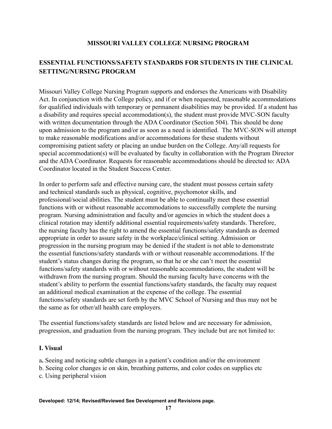## **MISSOURI VALLEY COLLEGE NURSING PROGRAM**

# <span id="page-16-0"></span>**ESSENTIAL FUNCTIONS/SAFETY STANDARDS FOR STUDENTS IN THE CLINICAL SETTING/NURSING PROGRAM**

Missouri Valley College Nursing Program supports and endorses the Americans with Disability Act. In conjunction with the College policy, and if or when requested, reasonable accommodations for qualified individuals with temporary or permanent disabilities may be provided. If a student has a disability and requires special accommodation(s), the student must provide MVC-SON faculty with written documentation through the ADA Coordinator (Section 504). This should be done upon admission to the program and/or as soon as a need is identified. The MVC-SON will attempt to make reasonable modifications and/or accommodations for these students without compromising patient safety or placing an undue burden on the College. Any/all requests for special accommodation(s) will be evaluated by faculty in collaboration with the Program Director and the ADA Coordinator. Requests for reasonable accommodations should be directed to: ADA Coordinator located in the Student Success Center.

In order to perform safe and effective nursing care, the student must possess certain safety and technical standards such as physical, cognitive, psychomotor skills, and professional/social abilities. The student must be able to continually meet these essential functions with or without reasonable accommodations to successfully complete the nursing program. Nursing administration and faculty and/or agencies in which the student does a clinical rotation may identify additional essential requirements/safety standards. Therefore, the nursing faculty has the right to amend the essential functions/safety standards as deemed appropriate in order to assure safety in the workplace/clinical setting. Admission or progression in the nursing program may be denied if the student is not able to demonstrate the essential functions/safety standards with or without reasonable accommodations. If the student's status changes during the program, so that he or she can't meet the essential functions/safety standards with or without reasonable accommodations, the student will be withdrawn from the nursing program. Should the nursing faculty have concerns with the student's ability to perform the essential functions/safety standards, the faculty may request an additional medical examination at the expense of the college. The essential functions/safety standards are set forth by the MVC School of Nursing and thus may not be the same as for other/all health care employers.

The essential functions/safety standards are listed below and are necessary for admission, progression, and graduation from the nursing program. They include but are not limited to:

#### <span id="page-16-1"></span>**I. Visual**

a**.** Seeing and noticing subtle changes in a patient's condition and/or the environment

- b. Seeing color changes ie on skin, breathing patterns, and color codes on supplies etc
- c. Using peripheral vision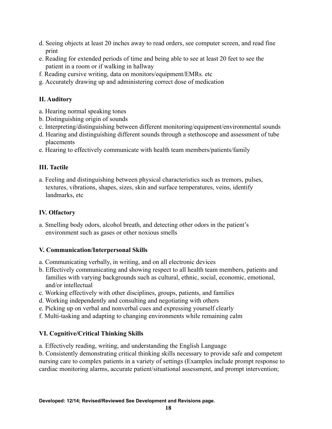- d. Seeing objects at least 20 inches away to read orders, see computer screen, and read fine print
- e. Reading for extended periods of time and being able to see at least 20 feet to see the patient in a room or if walking in hallway
- f. Reading cursive writing, data on monitors/equipment/EMRs. etc
- <span id="page-17-0"></span>g. Accurately drawing up and administering correct dose of medication

## **II. Auditory**

- a. Hearing normal speaking tones
- b. Distinguishing origin of sounds
- c. Interpreting/distinguishing between different monitoring/equipment/environmental sounds
- d. Hearing and distinguishing different sounds through a stethoscope and assessment of tube placements
- <span id="page-17-1"></span>e. Hearing to effectively communicate with health team members/patients/family

## **III. Tactile**

a. Feeling and distinguishing between physical characteristics such as tremors, pulses, textures, vibrations, shapes, sizes, skin and surface temperatures, veins, identify landmarks, etc

# <span id="page-17-2"></span>**IV. Olfactory**

a. Smelling body odors, alcohol breath, and detecting other odors in the patient's environment such as gases or other noxious smells

## <span id="page-17-3"></span>**V. Communication/Interpersonal Skills**

- a. Communicating verbally, in writing, and on all electronic devices
- b. Effectively communicating and showing respect to all health team members, patients and families with varying backgrounds such as cultural, ethnic, social, economic, emotional, and/or intellectual
- c. Working effectively with other disciplines, groups, patients, and families
- d. Working independently and consulting and negotiating with others
- e. Picking up on verbal and nonverbal cues and expressing yourself clearly
- <span id="page-17-4"></span>f. Multi-tasking and adapting to changing environments while remaining calm

## **VI. Cognitive/Critical Thinking Skills**

a. Effectively reading, writing, and understanding the English Language

b. Consistently demonstrating critical thinking skills necessary to provide safe and competent nursing care to complex patients in a variety of settings (Examples include prompt response to cardiac monitoring alarms, accurate patient/situational assessment, and prompt intervention;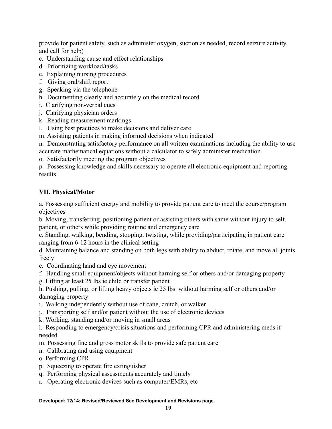provide for patient safety, such as administer oxygen, suction as needed, record seizure activity, and call for help)

- c. Understanding cause and effect relationships
- d. Prioritizing workload/tasks
- e. Explaining nursing procedures
- f. Giving oral/shift report
- g. Speaking via the telephone
- h. Documenting clearly and accurately on the medical record
- i. Clarifying non-verbal cues
- j. Clarifying physician orders
- k. Reading measurement markings
- l. Using best practices to make decisions and deliver care
- m. Assisting patients in making informed decisions when indicated

n. Demonstrating satisfactory performance on all written examinations including the ability to use accurate mathematical equations without a calculator to safely administer medication.

o. Satisfactorily meeting the program objectives

p. Possessing knowledge and skills necessary to operate all electronic equipment and reporting results

## <span id="page-18-0"></span>**VII. Physical/Motor**

a. Possessing sufficient energy and mobility to provide patient care to meet the course/program objectives

b. Moving, transferring, positioning patient or assisting others with same without injury to self, patient, or others while providing routine and emergency care

c. Standing, walking, bending, stooping, twisting, while providing/participating in patient care ranging from 6-12 hours in the clinical setting

d. Maintaining balance and standing on both legs with ability to abduct, rotate, and move all joints freely

- e. Coordinating hand and eye movement
- f. Handling small equipment/objects without harming self or others and/or damaging property
- g. Lifting at least 25 lbs ie child or transfer patient

h. Pushing, pulling, or lifting heavy objects ie 25 lbs. without harming self or others and/or damaging property

- i. Walking independently without use of cane, crutch, or walker
- j. Transporting self and/or patient without the use of electronic devices
- k. Working, standing and/or moving in small areas
- l. Responding to emergency/crisis situations and performing CPR and administering meds if needed
- m. Possessing fine and gross motor skills to provide safe patient care
- n. Calibrating and using equipment
- o. Performing CPR
- p. Squeezing to operate fire extinguisher
- q. Performing physical assessments accurately and timely
- r. Operating electronic devices such as computer/EMRs, etc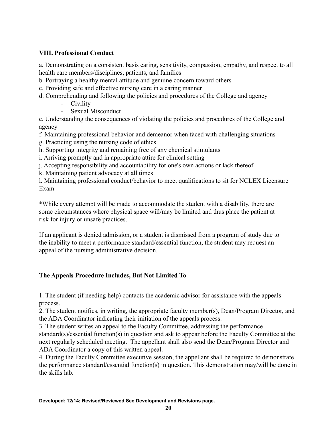## <span id="page-19-0"></span>**VIII. Professional Conduct**

a. Demonstrating on a consistent basis caring, sensitivity, compassion, empathy, and respect to all health care members/disciplines, patients, and families

b. Portraying a healthy mental attitude and genuine concern toward others

c. Providing safe and effective nursing care in a caring manner

- d. Comprehending and following the policies and procedures of the College and agency
	- Civility
	- Sexual Misconduct

e. Understanding the consequences of violating the policies and procedures of the College and agency

f. Maintaining professional behavior and demeanor when faced with challenging situations

g. Practicing using the nursing code of ethics

h. Supporting integrity and remaining free of any chemical stimulants

i. Arriving promptly and in appropriate attire for clinical setting

j. Accepting responsibility and accountability for one's own actions or lack thereof

k. Maintaining patient advocacy at all times

l. Maintaining professional conduct/behavior to meet qualifications to sit for NCLEX Licensure Exam

\*While every attempt will be made to accommodate the student with a disability, there are some circumstances where physical space will/may be limited and thus place the patient at risk for injury or unsafe practices.

If an applicant is denied admission, or a student is dismissed from a program of study due to the inability to meet a performance standard/essential function, the student may request an appeal of the nursing administrative decision.

## <span id="page-19-1"></span>**The Appeals Procedure Includes, But Not Limited To**

1. The student (if needing help) contacts the academic advisor for assistance with the appeals process.

2. The student notifies, in writing, the appropriate faculty member(s), Dean/Program Director, and the ADA Coordinator indicating their initiation of the appeals process.

3. The student writes an appeal to the Faculty Committee, addressing the performance standard(s)/essential function(s) in question and ask to appear before the Faculty Committee at the next regularly scheduled meeting. The appellant shall also send the Dean/Program Director and ADA Coordinator a copy of this written appeal.

4. During the Faculty Committee executive session, the appellant shall be required to demonstrate the performance standard/essential function(s) in question. This demonstration may/will be done in the skills lab.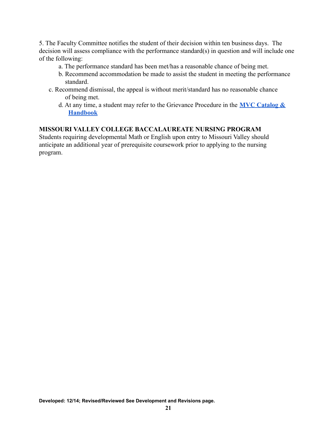5. The Faculty Committee notifies the student of their decision within ten business days. The decision will assess compliance with the performance standard(s) in question and will include one of the following:

- a. The performance standard has been met/has a reasonable chance of being met.
- b. Recommend accommodation be made to assist the student in meeting the performance standard.
- c. Recommend dismissal, the appeal is without merit/standard has no reasonable chance of being met.
	- d. At any time, a student may refer to the Grievance Procedure in the **[MVC Catalog &](https://www.moval.edu/academics/academic-catalog/) [Handbook](https://www.moval.edu/academics/academic-catalog/)**

## **MISSOURI VALLEY COLLEGE BACCALAUREATE NURSING PROGRAM**

Students requiring developmental Math or English upon entry to Missouri Valley should anticipate an additional year of prerequisite coursework prior to applying to the nursing program.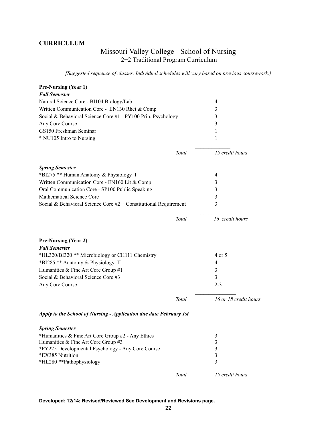## <span id="page-21-0"></span>**CURRICULUM**

## Missouri Valley College - School of Nursing 2+2 Traditional Program Curriculum

*[Suggested sequence of classes. Individual schedules will vary based on previous coursework.]*

| <b>Pre-Nursing (Year 1)</b>                                           |              |                                                    |
|-----------------------------------------------------------------------|--------------|----------------------------------------------------|
| <b>Fall Semester</b>                                                  |              |                                                    |
| Natural Science Core - BI104 Biology/Lab                              |              | 4                                                  |
| Written Communication Core - EN130 Rhet & Comp                        |              | 3                                                  |
| Social & Behavioral Science Core #1 - PY100 Prin. Psychology          |              | 3                                                  |
| Any Core Course                                                       |              | 3                                                  |
| GS150 Freshman Seminar                                                |              | 1                                                  |
| * NU105 Intro to Nursing                                              |              | 1                                                  |
|                                                                       | Total        | 15 credit hours                                    |
| <b>Spring Semester</b>                                                |              |                                                    |
| *BI275 ** Human Anatomy & Physiology I                                |              | 4                                                  |
| Written Communication Core - EN160 Lit & Comp                         |              | 3                                                  |
| Oral Communication Core - SP100 Public Speaking                       |              | 3                                                  |
| Mathematical Science Core                                             |              | 3                                                  |
| Social & Behavioral Science Core $#2 +$ Constitutional Requirement    |              | 3                                                  |
|                                                                       | Total        | 16 credit hours                                    |
| <b>Pre-Nursing (Year 2)</b><br><b>Fall Semester</b>                   |              |                                                    |
| *HL320/BI320 ** Microbiology or CH111 Chemistry                       |              | 4 or 5                                             |
| *BI285 ** Anatomy & Physiology II                                     |              | 4                                                  |
| Humanities & Fine Art Core Group #1                                   |              | 3                                                  |
| Social & Behavioral Science Core#3                                    |              | 3                                                  |
| Any Core Course                                                       |              | $2 - 3$                                            |
|                                                                       | Total        | 16 or 18 credit hours                              |
| Apply to the School of Nursing - Application due date February 1st    |              |                                                    |
| <b>Spring Semester</b>                                                |              |                                                    |
| *Humanities & Fine Art Core Group #2 - Any Ethics                     |              | 3                                                  |
| Humanities & Fine Art Core Group #3                                   |              | $\overline{\mathbf{3}}$                            |
| *PY225 Developmental Psychology - Any Core Course<br>*EX385 Nutrition |              | $\overline{\mathbf{3}}$<br>$\overline{\mathbf{3}}$ |
| *HL280 **Pathophysiology                                              |              | $\overline{3}$                                     |
|                                                                       | <b>Total</b> | 15 credit hours                                    |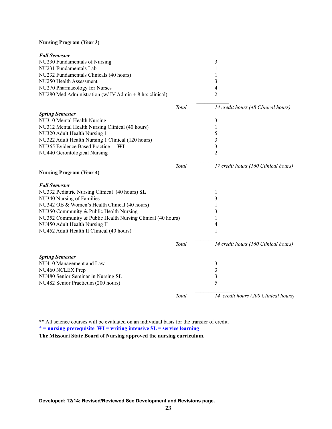## **Nursing Program (Year 3)**

| NU230 Fundamentals of Nursing<br>3<br>NU231 Fundamentals Lab<br>NU232 Fundamentals Clinicals (40 hours)<br>NU250 Health Assessment<br>3<br>NU270 Pharmacology for Nurses<br>4<br>$\overline{2}$<br>NU280 Med Administration (w/IV Admin + 8 hrs clinical)<br>Total<br>14 credit hours (48 Clinical hours)<br><b>Spring Semester</b><br>NU310 Mental Health Nursing<br>3<br>NU312 Mental Health Nursing Clinical (40 hours)<br>1<br>NU320 Adult Health Nursing 1<br>5<br>NU322 Adult Health Nursing 1 Clinical (120 hours)<br>3<br>3<br>NU365 Evidence Based Practice<br>WI<br>$\overline{2}$<br>NU440 Gerontological Nursing<br>Total<br>17 credit hours (160 Clinical hours)<br><b>Nursing Program (Year 4)</b><br><b>Fall Semester</b><br>NU332 Pediatric Nursing Clinical (40 hours) SL<br>1<br>NU340 Nursing of Families<br>3<br>NU342 OB & Women's Health Clinical (40 hours)<br>1<br>NU350 Community & Public Health Nursing<br>3<br>NU352 Community & Public Health Nursing Clinical (40 hours)<br>1<br>NU450 Adult Health Nursing II<br>4<br>NU452 Adult Health II Clinical (40 hours)<br>$\mathbf{1}$<br>Total<br>14 credit hours (160 Clinical hours) |  |
|-----------------------------------------------------------------------------------------------------------------------------------------------------------------------------------------------------------------------------------------------------------------------------------------------------------------------------------------------------------------------------------------------------------------------------------------------------------------------------------------------------------------------------------------------------------------------------------------------------------------------------------------------------------------------------------------------------------------------------------------------------------------------------------------------------------------------------------------------------------------------------------------------------------------------------------------------------------------------------------------------------------------------------------------------------------------------------------------------------------------------------------------------------------------|--|
|                                                                                                                                                                                                                                                                                                                                                                                                                                                                                                                                                                                                                                                                                                                                                                                                                                                                                                                                                                                                                                                                                                                                                                 |  |
|                                                                                                                                                                                                                                                                                                                                                                                                                                                                                                                                                                                                                                                                                                                                                                                                                                                                                                                                                                                                                                                                                                                                                                 |  |
|                                                                                                                                                                                                                                                                                                                                                                                                                                                                                                                                                                                                                                                                                                                                                                                                                                                                                                                                                                                                                                                                                                                                                                 |  |
|                                                                                                                                                                                                                                                                                                                                                                                                                                                                                                                                                                                                                                                                                                                                                                                                                                                                                                                                                                                                                                                                                                                                                                 |  |
|                                                                                                                                                                                                                                                                                                                                                                                                                                                                                                                                                                                                                                                                                                                                                                                                                                                                                                                                                                                                                                                                                                                                                                 |  |
|                                                                                                                                                                                                                                                                                                                                                                                                                                                                                                                                                                                                                                                                                                                                                                                                                                                                                                                                                                                                                                                                                                                                                                 |  |
|                                                                                                                                                                                                                                                                                                                                                                                                                                                                                                                                                                                                                                                                                                                                                                                                                                                                                                                                                                                                                                                                                                                                                                 |  |
|                                                                                                                                                                                                                                                                                                                                                                                                                                                                                                                                                                                                                                                                                                                                                                                                                                                                                                                                                                                                                                                                                                                                                                 |  |
|                                                                                                                                                                                                                                                                                                                                                                                                                                                                                                                                                                                                                                                                                                                                                                                                                                                                                                                                                                                                                                                                                                                                                                 |  |
|                                                                                                                                                                                                                                                                                                                                                                                                                                                                                                                                                                                                                                                                                                                                                                                                                                                                                                                                                                                                                                                                                                                                                                 |  |
|                                                                                                                                                                                                                                                                                                                                                                                                                                                                                                                                                                                                                                                                                                                                                                                                                                                                                                                                                                                                                                                                                                                                                                 |  |
|                                                                                                                                                                                                                                                                                                                                                                                                                                                                                                                                                                                                                                                                                                                                                                                                                                                                                                                                                                                                                                                                                                                                                                 |  |
|                                                                                                                                                                                                                                                                                                                                                                                                                                                                                                                                                                                                                                                                                                                                                                                                                                                                                                                                                                                                                                                                                                                                                                 |  |
|                                                                                                                                                                                                                                                                                                                                                                                                                                                                                                                                                                                                                                                                                                                                                                                                                                                                                                                                                                                                                                                                                                                                                                 |  |
|                                                                                                                                                                                                                                                                                                                                                                                                                                                                                                                                                                                                                                                                                                                                                                                                                                                                                                                                                                                                                                                                                                                                                                 |  |
|                                                                                                                                                                                                                                                                                                                                                                                                                                                                                                                                                                                                                                                                                                                                                                                                                                                                                                                                                                                                                                                                                                                                                                 |  |
|                                                                                                                                                                                                                                                                                                                                                                                                                                                                                                                                                                                                                                                                                                                                                                                                                                                                                                                                                                                                                                                                                                                                                                 |  |
|                                                                                                                                                                                                                                                                                                                                                                                                                                                                                                                                                                                                                                                                                                                                                                                                                                                                                                                                                                                                                                                                                                                                                                 |  |
|                                                                                                                                                                                                                                                                                                                                                                                                                                                                                                                                                                                                                                                                                                                                                                                                                                                                                                                                                                                                                                                                                                                                                                 |  |
|                                                                                                                                                                                                                                                                                                                                                                                                                                                                                                                                                                                                                                                                                                                                                                                                                                                                                                                                                                                                                                                                                                                                                                 |  |
|                                                                                                                                                                                                                                                                                                                                                                                                                                                                                                                                                                                                                                                                                                                                                                                                                                                                                                                                                                                                                                                                                                                                                                 |  |
|                                                                                                                                                                                                                                                                                                                                                                                                                                                                                                                                                                                                                                                                                                                                                                                                                                                                                                                                                                                                                                                                                                                                                                 |  |
|                                                                                                                                                                                                                                                                                                                                                                                                                                                                                                                                                                                                                                                                                                                                                                                                                                                                                                                                                                                                                                                                                                                                                                 |  |
|                                                                                                                                                                                                                                                                                                                                                                                                                                                                                                                                                                                                                                                                                                                                                                                                                                                                                                                                                                                                                                                                                                                                                                 |  |
|                                                                                                                                                                                                                                                                                                                                                                                                                                                                                                                                                                                                                                                                                                                                                                                                                                                                                                                                                                                                                                                                                                                                                                 |  |
| <b>Spring Semester</b>                                                                                                                                                                                                                                                                                                                                                                                                                                                                                                                                                                                                                                                                                                                                                                                                                                                                                                                                                                                                                                                                                                                                          |  |
| NU410 Management and Law<br>3                                                                                                                                                                                                                                                                                                                                                                                                                                                                                                                                                                                                                                                                                                                                                                                                                                                                                                                                                                                                                                                                                                                                   |  |
| 3<br>NU460 NCLEX Prep                                                                                                                                                                                                                                                                                                                                                                                                                                                                                                                                                                                                                                                                                                                                                                                                                                                                                                                                                                                                                                                                                                                                           |  |
| $\mathfrak{Z}$<br>NU480 Senior Seminar in Nursing SL                                                                                                                                                                                                                                                                                                                                                                                                                                                                                                                                                                                                                                                                                                                                                                                                                                                                                                                                                                                                                                                                                                            |  |
| 5<br>NU482 Senior Practicum (200 hours)                                                                                                                                                                                                                                                                                                                                                                                                                                                                                                                                                                                                                                                                                                                                                                                                                                                                                                                                                                                                                                                                                                                         |  |
| 14 credit hours (200 Clinical hours)<br>Total                                                                                                                                                                                                                                                                                                                                                                                                                                                                                                                                                                                                                                                                                                                                                                                                                                                                                                                                                                                                                                                                                                                   |  |

\*\* All science courses will be evaluated on an individual basis for the transfer of credit.

**\* = nursing prerequisite WI = writing intensive SL = service learning**

**The Missouri State Board of Nursing approved the nursing curriculum.**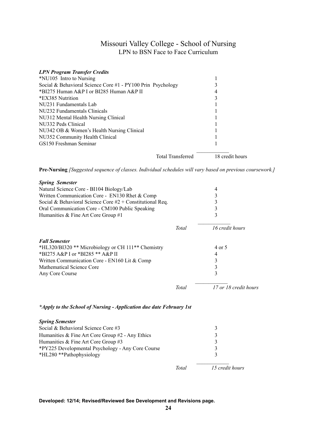## Missouri Valley College - School of Nursing LPN to BSN Face to Face Curriculum

<span id="page-23-0"></span>

| <b>LPN Program Transfer Credits</b>                         |                          |                 |
|-------------------------------------------------------------|--------------------------|-----------------|
| *NU105 Intro to Nursing                                     |                          |                 |
| Social & Behavioral Science Core #1 - PY100 Prin Psychology |                          |                 |
| *BI275 Human A&P I or BI285 Human A&P II                    |                          |                 |
| *EX385 Nutrition                                            |                          |                 |
| NU231 Fundamentals Lab                                      |                          |                 |
| NU232 Fundamentals Clinicals                                |                          |                 |
| NU312 Mental Health Nursing Clinical                        |                          |                 |
| NU332 Peds Clinical                                         |                          |                 |
| NU342 OB & Women's Health Nursing Clinical                  |                          |                 |
| NU352 Community Health Clinical                             |                          |                 |
| GS150 Freshman Seminar                                      |                          |                 |
|                                                             | <b>Total Transferred</b> | 18 credit hours |

**Pre-Nursing** *[Suggested sequence of classes. Individual schedules will vary based on previous coursework.]*

| <b>Spring Semester</b>                                      |       |                       |
|-------------------------------------------------------------|-------|-----------------------|
| Natural Science Core - BI104 Biology/Lab                    |       | 4                     |
| Written Communication Core - EN130 Rhet & Comp              |       | 3                     |
| Social & Behavioral Science Core $#2 +$ Constitutional Req. |       |                       |
| Oral Communication Core - CM100 Public Speaking             |       | 3                     |
| Humanities & Fine Art Core Group #1                         |       | 3                     |
|                                                             | Total | 16 credit hours       |
| <b>Fall Semester</b>                                        |       |                       |
| *HL320/BI320 ** Microbiology or CH 111** Chemistry          |       | 4 or 5                |
| *BI275 A&P I or *BI285 ** A&P II                            |       | 4                     |
| Written Communication Core - EN160 Lit & Comp               |       | 3                     |
| <b>Mathematical Science Core</b>                            |       | 3                     |
| Any Core Course                                             |       | 3                     |
|                                                             | Total | 17 or 18 credit hours |

*\*Apply to the School of Nursing - Application due date February 1st*

| <b>Spring Semester</b>                               |       |                 |
|------------------------------------------------------|-------|-----------------|
| Social & Behavioral Science Core #3                  |       | 3               |
| Humanities $&$ Fine Art Core Group $#2$ - Any Ethics |       | 3               |
| Humanities & Fine Art Core Group #3                  |       |                 |
| *PY225 Developmental Psychology - Any Core Course    |       | 3               |
| *HL280 **Pathophysiology                             |       | 3               |
|                                                      | Total | 15 credit hours |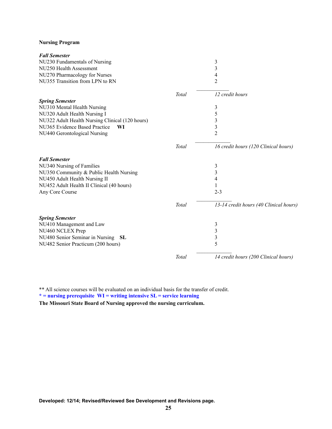#### **Nursing Program**

| <b>Fall Semester</b>                            |              |                                        |
|-------------------------------------------------|--------------|----------------------------------------|
| NU230 Fundamentals of Nursing                   |              | 3                                      |
| NU250 Health Assessment                         |              | 3                                      |
| NU270 Pharmacology for Nurses                   |              | 4                                      |
| NU355 Transition from LPN to RN                 |              | $\overline{2}$                         |
|                                                 | Total        | 12 credit hours                        |
| <b>Spring Semester</b>                          |              |                                        |
| NU310 Mental Health Nursing                     |              | 3                                      |
| NU320 Adult Health Nursing I                    |              | 5                                      |
| NU322 Adult Health Nursing Clinical (120 hours) |              | 3                                      |
| NU365 Evidence Based Practice<br>WI             |              | 3                                      |
| NU440 Gerontological Nursing                    |              | $\overline{2}$                         |
|                                                 | Total        | 16 credit hours (120 Clinical hours)   |
| <b>Fall Semester</b>                            |              |                                        |
| NU340 Nursing of Families                       |              | 3                                      |
| NU350 Community & Public Health Nursing         |              | 3                                      |
| NU450 Adult Health Nursing II                   |              | 4                                      |
| NU452 Adult Health II Clinical (40 hours)       |              |                                        |
| Any Core Course                                 |              | $2 - 3$                                |
|                                                 | <b>Total</b> | 13-14 credit hours (40 Clinical hours) |
| <b>Spring Semester</b>                          |              |                                        |
| NU410 Management and Law                        |              | 3                                      |
| NU460 NCLEX Prep                                |              | 3                                      |
| NU480 Senior Seminar in Nursing<br><b>SL</b>    |              | 3                                      |
| NU482 Senior Practicum (200 hours)              |              | 5                                      |
|                                                 | Total        | 14 credit hours (200 Clinical hours)   |

\*\* All science courses will be evaluated on an individual basis for the transfer of credit. **\* = nursing prerequisite WI = writing intensive SL = service learning The Missouri State Board of Nursing approved the nursing curriculum.**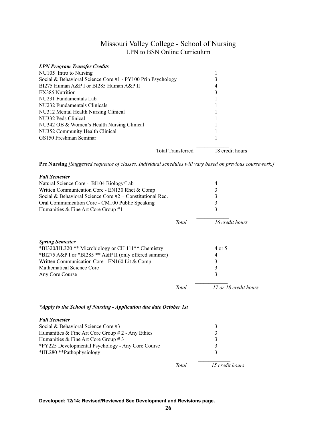## Missouri Valley College - School of Nursing LPN to BSN Online Curriculum

<span id="page-25-0"></span>

| <b>LPN Program Transfer Credits</b>                         |                                             |  |
|-------------------------------------------------------------|---------------------------------------------|--|
| NU105 Intro to Nursing                                      |                                             |  |
| Social & Behavioral Science Core #1 - PY100 Prin Psychology |                                             |  |
| BI275 Human A&P I or BI285 Human A&P II                     | 4                                           |  |
| EX385 Nutrition                                             |                                             |  |
| NU231 Fundamentals Lab                                      |                                             |  |
| NU232 Fundamentals Clinicals                                |                                             |  |
| NU312 Mental Health Nursing Clinical                        |                                             |  |
| NU332 Peds Clinical                                         |                                             |  |
| NU342 OB & Women's Health Nursing Clinical                  |                                             |  |
| NU352 Community Health Clinical                             |                                             |  |
| GS150 Freshman Seminar                                      |                                             |  |
|                                                             | 18 credit hours<br><b>Total Transferred</b> |  |

**Pre Nursing** *[Suggested sequence of classes. Individual schedules will vary based on previous coursework.]*

| <b>Fall Semester</b><br>Natural Science Core - BI104 Biology/Lab<br>Written Communication Core - EN130 Rhet & Comp<br>Social & Behavioral Science Core $#2 +$ Constitutional Req.<br>Oral Communication Core - CM100 Public Speaking<br>Humanities & Fine Art Core Group #1 |       | 4<br>3<br>3<br>3<br>3      |
|-----------------------------------------------------------------------------------------------------------------------------------------------------------------------------------------------------------------------------------------------------------------------------|-------|----------------------------|
|                                                                                                                                                                                                                                                                             | Total | 16 credit hours            |
| <b>Spring Semester</b><br>*BI320/HL320 ** Microbiology or CH 111** Chemistry<br>*BI275 A&P I or *BI285 ** A&P II (only offered summer)<br>Written Communication Core - EN160 Lit & Comp<br><b>Mathematical Science Core</b><br>Any Core Course                              |       | 4 or 5<br>4<br>3<br>3<br>3 |
|                                                                                                                                                                                                                                                                             | Total | 17 or 18 credit hours      |

#### *\*Apply to the School of Nursing - Application due date October 1st*

| <b>Fall Semester</b>                                |       |                 |
|-----------------------------------------------------|-------|-----------------|
| Social & Behavioral Science Core #3                 |       | 3               |
| Humanities & Fine Art Core Group $# 2$ - Any Ethics |       | 3               |
| Humanities & Fine Art Core Group # 3                |       | 3               |
| *PY225 Developmental Psychology - Any Core Course   |       | 3               |
| *HL280 **Pathophysiology                            |       |                 |
|                                                     | Total | 15 credit hours |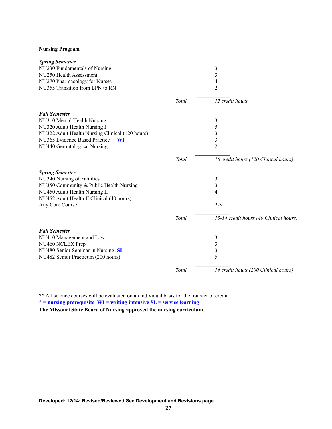#### **Nursing Program**

| <b>Spring Semester</b>                          |       |                                        |
|-------------------------------------------------|-------|----------------------------------------|
| NU230 Fundamentals of Nursing                   |       | 3                                      |
| NU250 Health Assessment                         |       | 3                                      |
| NU270 Pharmacology for Nurses                   |       | 4                                      |
| NU355 Transition from LPN to RN                 |       | $\overline{2}$                         |
|                                                 | Total | 12 credit hours                        |
| <b>Fall Semester</b>                            |       |                                        |
| NU310 Mental Health Nursing                     |       | 3                                      |
| NU320 Adult Health Nursing I                    |       | 5                                      |
| NU322 Adult Health Nursing Clinical (120 hours) |       | 3                                      |
| NU365 Evidence Based Practice<br><b>WI</b>      |       | 3                                      |
| NU440 Gerontological Nursing                    |       | $\overline{2}$                         |
|                                                 | Total | 16 credit hours (120 Clinical hours)   |
| <b>Spring Semester</b>                          |       |                                        |
| NU340 Nursing of Families                       |       | 3                                      |
| NU350 Community & Public Health Nursing         |       | 3                                      |
| NU450 Adult Health Nursing II                   |       | $\overline{4}$                         |
| NU452 Adult Health II Clinical (40 hours)       |       | 1                                      |
| Any Core Course                                 |       | $2 - 3$                                |
|                                                 | Total | 13-14 credit hours (40 Clinical hours) |
| <b>Fall Semester</b>                            |       |                                        |
| NU410 Management and Law                        |       | 3                                      |
| NU460 NCLEX Prep                                |       | 3                                      |
| NU480 Senior Seminar in Nursing SL              |       | 3                                      |
| NU482 Senior Practicum (200 hours)              |       | 5                                      |
|                                                 | Total | 14 credit hours (200 Clinical hours)   |
|                                                 |       |                                        |

\*\* All science courses will be evaluated on an individual basis for the transfer of credit. **\* = nursing prerequisite WI = writing intensive SL = service learning**

**The Missouri State Board of Nursing approved the nursing curriculum.**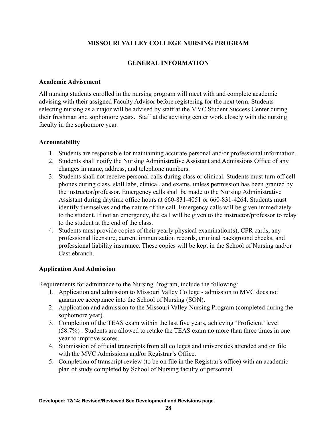## **MISSOURI VALLEY COLLEGE NURSING PROGRAM**

## **GENERAL INFORMATION**

#### <span id="page-27-1"></span><span id="page-27-0"></span>**Academic Advisement**

All nursing students enrolled in the nursing program will meet with and complete academic advising with their assigned Faculty Advisor before registering for the next term. Students selecting nursing as a major will be advised by staff at the MVC Student Success Center during their freshman and sophomore years. Staff at the advising center work closely with the nursing faculty in the sophomore year.

## <span id="page-27-2"></span>**Accountability**

- 1. Students are responsible for maintaining accurate personal and/or professional information.
- 2. Students shall notify the Nursing Administrative Assistant and Admissions Office of any changes in name, address, and telephone numbers.
- 3. Students shall not receive personal calls during class or clinical. Students must turn off cell phones during class, skill labs, clinical, and exams, unless permission has been granted by the instructor/professor. Emergency calls shall be made to the Nursing Administrative Assistant during daytime office hours at 660-831-4051 or 660-831-4264. Students must identify themselves and the nature of the call. Emergency calls will be given immediately to the student. If not an emergency, the call will be given to the instructor/professor to relay to the student at the end of the class.
- 4. Students must provide copies of their yearly physical examination(s), CPR cards, any professional licensure, current immunization records, criminal background checks, and professional liability insurance. These copies will be kept in the School of Nursing and/or Castlebranch.

## **Application And Admission**

Requirements for admittance to the Nursing Program, include the following:

- 1. Application and admission to Missouri Valley College admission to MVC does not guarantee acceptance into the School of Nursing (SON).
- 2. Application and admission to the Missouri Valley Nursing Program (completed during the sophomore year).
- 3. Completion of the TEAS exam within the last five years, achieving 'Proficient' level (58.7%) . Students are allowed to retake the TEAS exam no more than three times in one year to improve scores.
- 4. Submission of official transcripts from all colleges and universities attended and on file with the MVC Admissions and/or Registrar's Office.
- 5. Completion of transcript review (to be on file in the Registrar's office) with an academic plan of study completed by School of Nursing faculty or personnel.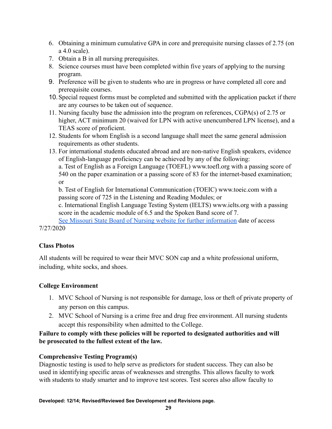- 6. Obtaining a minimum cumulative GPA in core and prerequisite nursing classes of 2.75 (on a 4.0 scale).
- 7. Obtain a B in all nursing prerequisites.
- 8. Science courses must have been completed within five years of applying to the nursing program.
- 9. Preference will be given to students who are in progress or have completed all core and prerequisite courses.
- 10.Special request forms must be completed and submitted with the application packet if there are any courses to be taken out of sequence.
- 11. Nursing faculty base the admission into the program on references, CGPA(s) of 2.75 or higher, ACT minimum 20 (waived for LPN with active unencumbered LPN license), and a TEAS score of proficient.
- 12. Students for whom English is a second language shall meet the same general admission requirements as other students.
- 13. For international students educated abroad and are non-native English speakers, evidence of English-language proficiency can be achieved by any of the following:

a. Test of English as a Foreign Language (TOEFL) www.toefl.org with a passing score of 540 on the paper examination or a passing score of 83 for the internet-based examination; or

b. Test of English for International Communication (TOEIC) www.toeic.com with a passing score of 725 in the Listening and Reading Modules; or

c. International English Language Testing System (IELTS) www.ielts.org with a passing score in the academic module of 6.5 and the Spoken Band score of 7.

[See Missouri State Board of Nursing website for further information](https://pr.mo.gov/boards/nursing/RN%20License%20by%20Examination%20-%20Foreign%20Educted%20Instruction%20Letter.pdf) date of access 7/27/2020

## <span id="page-28-0"></span>**Class Photos**

All students will be required to wear their MVC SON cap and a white professional uniform, including, white socks, and shoes.

# <span id="page-28-1"></span>**College Environment**

- 1. MVC School of Nursing is not responsible for damage, loss or theft of private property of any person on this campus.
- 2. MVC School of Nursing is a crime free and drug free environment. All nursing students accept this responsibility when admitted to the College.

## **Failure to comply with these policies will be reported to designated authorities and will be prosecuted to the fullest extent of the law.**

# **Comprehensive Testing Program(s)**

Diagnostic testing is used to help serve as predictors for student success. They can also be used in identifying specific areas of weaknesses and strengths. This allows faculty to work with students to study smarter and to improve test scores. Test scores also allow faculty to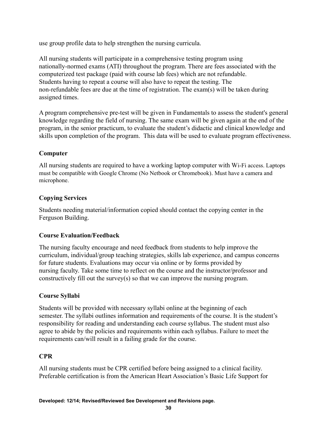use group profile data to help strengthen the nursing curricula.

All nursing students will participate in a comprehensive testing program using nationally-normed exams (ATI) throughout the program. There are fees associated with the computerized test package (paid with course lab fees) which are not refundable. Students having to repeat a course will also have to repeat the testing. The non-refundable fees are due at the time of registration. The exam(s) will be taken during assigned times.

A program comprehensive pre-test will be given in Fundamentals to assess the student's general knowledge regarding the field of nursing. The same exam will be given again at the end of the program, in the senior practicum, to evaluate the student's didactic and clinical knowledge and skills upon completion of the program. This data will be used to evaluate program effectiveness.

## <span id="page-29-0"></span>**Computer**

All nursing students are required to have a working laptop computer with Wi-Fi access. Laptops must be compatible with Google Chrome (No Netbook or Chromebook). Must have a camera and microphone.

## <span id="page-29-1"></span>**Copying Services**

Students needing material/information copied should contact the copying center in the Ferguson Building.

## <span id="page-29-2"></span>**Course Evaluation/Feedback**

The nursing faculty encourage and need feedback from students to help improve the curriculum, individual/group teaching strategies, skills lab experience, and campus concerns for future students. Evaluations may occur via online or by forms provided by nursing faculty. Take some time to reflect on the course and the instructor/professor and constructively fill out the survey(s) so that we can improve the nursing program.

## <span id="page-29-3"></span>**Course Syllabi**

Students will be provided with necessary syllabi online at the beginning of each semester. The syllabi outlines information and requirements of the course. It is the student's responsibility for reading and understanding each course syllabus. The student must also agree to abide by the policies and requirements within each syllabus. Failure to meet the requirements can/will result in a failing grade for the course.

## <span id="page-29-4"></span>**CPR**

All nursing students must be CPR certified before being assigned to a clinical facility. Preferable certification is from the American Heart Association's Basic Life Support for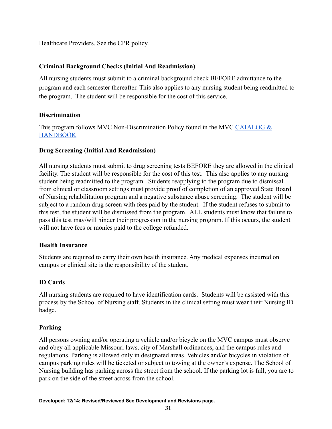Healthcare Providers. See the CPR policy.

## <span id="page-30-0"></span>**Criminal Background Checks (Initial And Readmission)**

All nursing students must submit to a criminal background check BEFORE admittance to the program and each semester thereafter. This also applies to any nursing student being readmitted to the program. The student will be responsible for the cost of this service.

## <span id="page-30-1"></span>**Discrimination**

This program follows MVC Non-Discrimination Policy found in the MVC [CATALOG &](https://www.moval.edu/academics/academic-catalog/) **[HANDBOOK](https://www.moval.edu/academics/academic-catalog/)** 

## <span id="page-30-2"></span>**Drug Screening (Initial And Readmission)**

All nursing students must submit to drug screening tests BEFORE they are allowed in the clinical facility. The student will be responsible for the cost of this test. This also applies to any nursing student being readmitted to the program. Students reapplying to the program due to dismissal from clinical or classroom settings must provide proof of completion of an approved State Board of Nursing rehabilitation program and a negative substance abuse screening. The student will be subject to a random drug screen with fees paid by the student. If the student refuses to submit to this test, the student will be dismissed from the program. ALL students must know that failure to pass this test may/will hinder their progression in the nursing program. If this occurs, the student will not have fees or monies paid to the college refunded.

## <span id="page-30-3"></span>**Health Insurance**

Students are required to carry their own health insurance. Any medical expenses incurred on campus or clinical site is the responsibility of the student.

## <span id="page-30-4"></span>**ID Cards**

All nursing students are required to have identification cards. Students will be assisted with this process by the School of Nursing staff. Students in the clinical setting must wear their Nursing ID badge.

## <span id="page-30-5"></span>**Parking**

All persons owning and/or operating a vehicle and/or bicycle on the MVC campus must observe and obey all applicable Missouri laws, city of Marshall ordinances, and the campus rules and regulations. Parking is allowed only in designated areas. Vehicles and/or bicycles in violation of campus parking rules will be ticketed or subject to towing at the owner's expense. The School of Nursing building has parking across the street from the school. If the parking lot is full, you are to park on the side of the street across from the school.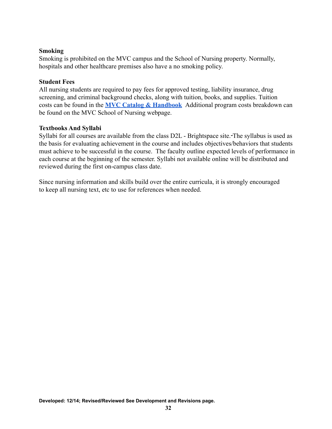### <span id="page-31-0"></span>**Smoking**

Smoking is prohibited on the MVC campus and the School of Nursing property. Normally, hospitals and other healthcare premises also have a no smoking policy.

## <span id="page-31-1"></span>**Student Fees**

All nursing students are required to pay fees for approved testing, liability insurance, drug screening, and criminal background checks, along with tuition, books, and supplies. Tuition costs can be found in the **[MVC Catalog & Handbook](https://www.moval.edu/academics/academic-catalog/)** Additional program costs breakdown can be found on the MVC School of Nursing webpage.

## <span id="page-31-2"></span>**Textbooks And Syllabi**

Syllabi for all courses are available from the class D2L - Brightspace site. The syllabus is used as the basis for evaluating achievement in the course and includes objectives/behaviors that students must achieve to be successful in the course. The faculty outline expected levels of performance in each course at the beginning of the semester. Syllabi not available online will be distributed and reviewed during the first on-campus class date.

Since nursing information and skills build over the entire curricula, it is strongly encouraged to keep all nursing text, etc to use for references when needed.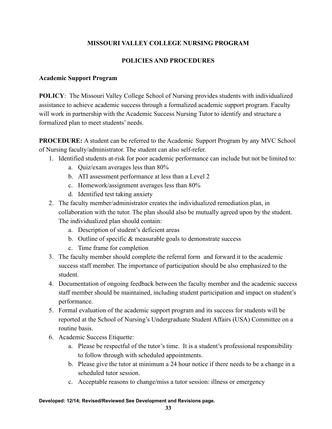## **MISSOURI VALLEY COLLEGE NURSING PROGRAM**

## **POLICIES AND PROCEDURES**

#### **Academic Support Program**

**POLICY**: The Missouri Valley College School of Nursing provides students with individualized assistance to achieve academic success through a formalized academic support program. Faculty will work in partnership with the Academic Success Nursing Tutor to identify and structure a formalized plan to meet students' needs.

**PROCEDURE:** A student can be referred to the Academic Support Program by any MVC School of Nursing faculty/administrator. The student can also self-refer.

- 1. Identified students at-risk for poor academic performance can include but not be limited to:
	- a. Quiz/exam averages less than 80%
	- b. ATI assessment performance at less than a Level 2
	- c. Homework/assignment averages less than 80%
	- d. Identified test taking anxiety
- 2. The faculty member/administrator creates the individualized remediation plan, in collaboration with the tutor. The plan should also be mutually agreed upon by the student. The individualized plan should contain:
	- a. Description of student's deficient areas
	- b. Outline of specific  $\&$  measurable goals to demonstrate success
	- c. Time frame for completion
- 3. The faculty member should complete the referral form and forward it to the academic success staff member. The importance of participation should be also emphasized to the student.
- 4. Documentation of ongoing feedback between the faculty member and the academic success staff member should be maintained, including student participation and impact on student's performance.
- 5. Formal evaluation of the academic support program and its success for students will be reported at the School of Nursing's Undergraduate Student Affairs (USA) Committee on a routine basis.
- 6. Academic Success Etiquette:
	- a. Please be respectful of the tutor's time. It is a student's professional responsibility to follow through with scheduled appointments.
	- b. Please give the tutor at minimum a 24 hour notice if there needs to be a change in a scheduled tutor session.
	- c. Acceptable reasons to change/miss a tutor session: illness or emergency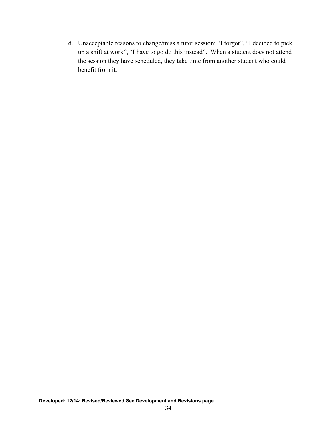d. Unacceptable reasons to change/miss a tutor session: "I forgot", "I decided to pick up a shift at work", "I have to go do this instead". When a student does not attend the session they have scheduled, they take time from another student who could benefit from it.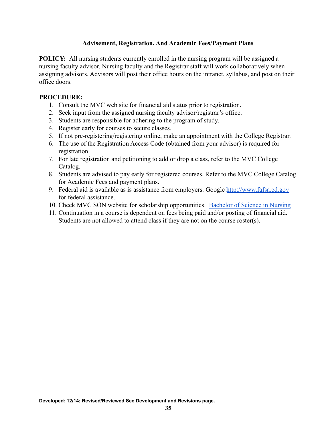## **Advisement, Registration, And Academic Fees/Payment Plans**

**POLICY:** All nursing students currently enrolled in the nursing program will be assigned a nursing faculty advisor. Nursing faculty and the Registrar staff will work collaboratively when assigning advisors. Advisors will post their office hours on the intranet, syllabus, and post on their office doors.

## **PROCEDURE:**

- 1. Consult the MVC web site for financial aid status prior to registration.
- 2. Seek input from the assigned nursing faculty advisor/registrar's office.
- 3. Students are responsible for adhering to the program of study.
- 4. Register early for courses to secure classes.
- 5. If not pre-registering/registering online, make an appointment with the College Registrar.
- 6. The use of the Registration Access Code (obtained from your advisor) is required for registration.
- 7. For late registration and petitioning to add or drop a class, refer to the MVC College Catalog.
- 8. Students are advised to pay early for registered courses. Refer to the MVC College Catalog for Academic Fees and payment plans.
- 9. Federal aid is available as is assistance from employers. Google <http://www.fafsa.ed.gov> for federal assistance.
- 10. Check MVC SON website for scholarship opportunities. [Bachelor of Science in Nursing](http://www.moval.edu/academics/academic-divisions/school-of-nursing/nursing/)
- 11. Continuation in a course is dependent on fees being paid and/or posting of financial aid. Students are not allowed to attend class if they are not on the course roster(s).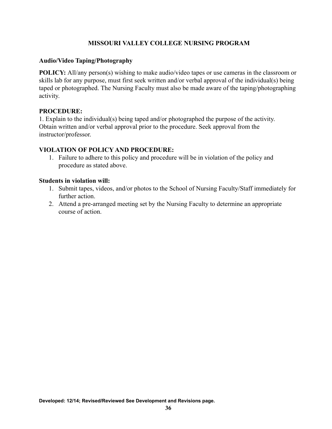## **MISSOURI VALLEY COLLEGE NURSING PROGRAM**

## <span id="page-35-0"></span>**Audio/Video Taping/Photography**

**POLICY:** All/any person(s) wishing to make audio/video tapes or use cameras in the classroom or skills lab for any purpose, must first seek written and/or verbal approval of the individual(s) being taped or photographed. The Nursing Faculty must also be made aware of the taping/photographing activity.

## **PROCEDURE:**

1. Explain to the individual(s) being taped and/or photographed the purpose of the activity. Obtain written and/or verbal approval prior to the procedure. Seek approval from the instructor/professor.

## **VIOLATION OF POLICY AND PROCEDURE:**

1. Failure to adhere to this policy and procedure will be in violation of the policy and procedure as stated above.

#### **Students in violation will:**

- 1. Submit tapes, videos, and/or photos to the School of Nursing Faculty/Staff immediately for further action.
- 2. Attend a pre-arranged meeting set by the Nursing Faculty to determine an appropriate course of action.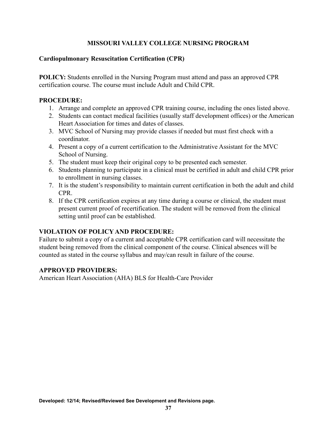### **Cardiopulmonary Resuscitation Certification (CPR)**

**POLICY:** Students enrolled in the Nursing Program must attend and pass an approved CPR certification course. The course must include Adult and Child CPR.

#### **PROCEDURE:**

- 1. Arrange and complete an approved CPR training course, including the ones listed above.
- 2. Students can contact medical facilities (usually staff development offices) or the American Heart Association for times and dates of classes.
- 3. MVC School of Nursing may provide classes if needed but must first check with a coordinator.
- 4. Present a copy of a current certification to the Administrative Assistant for the MVC School of Nursing.
- 5. The student must keep their original copy to be presented each semester.
- 6. Students planning to participate in a clinical must be certified in adult and child CPR prior to enrollment in nursing classes.
- 7. It is the student's responsibility to maintain current certification in both the adult and child CPR.
- 8. If the CPR certification expires at any time during a course or clinical, the student must present current proof of recertification. The student will be removed from the clinical setting until proof can be established.

## **VIOLATION OF POLICY AND PROCEDURE:**

Failure to submit a copy of a current and acceptable CPR certification card will necessitate the student being removed from the clinical component of the course. Clinical absences will be counted as stated in the course syllabus and may/can result in failure of the course.

#### **APPROVED PROVIDERS:**

American Heart Association (AHA) BLS for Health-Care Provider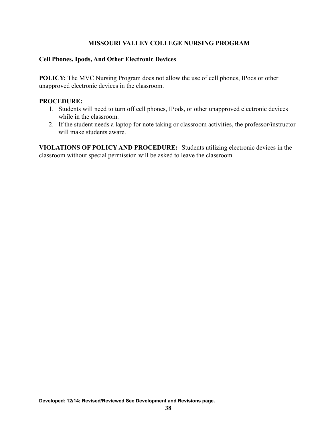### **Cell Phones, Ipods, And Other Electronic Devices**

**POLICY:** The MVC Nursing Program does not allow the use of cell phones, IPods or other unapproved electronic devices in the classroom.

#### **PROCEDURE:**

- 1. Students will need to turn off cell phones, IPods, or other unapproved electronic devices while in the classroom.
- 2. If the student needs a laptop for note taking or classroom activities, the professor/instructor will make students aware.

**VIOLATIONS OF POLICY AND PROCEDURE:** Students utilizing electronic devices in the classroom without special permission will be asked to leave the classroom.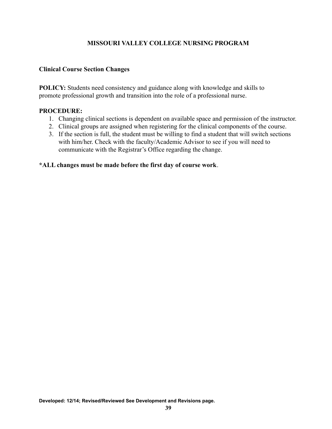#### **Clinical Course Section Changes**

**POLICY:** Students need consistency and guidance along with knowledge and skills to promote professional growth and transition into the role of a professional nurse.

#### **PROCEDURE:**

- 1. Changing clinical sections is dependent on available space and permission of the instructor.
- 2. Clinical groups are assigned when registering for the clinical components of the course.
- 3. If the section is full, the student must be willing to find a student that will switch sections with him/her. Check with the faculty/Academic Advisor to see if you will need to communicate with the Registrar's Office regarding the change.

#### **\*ALL changes must be made before the first day of course work**.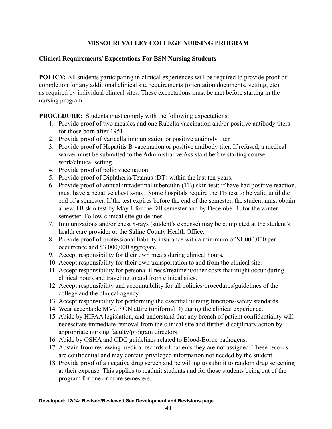## **Clinical Requirements/ Expectations For BSN Nursing Students**

**POLICY:** All students participating in clinical experiences will be required to provide proof of completion for any additional clinical site requirements (orientation documents, vetting, etc) as required by individual clinical sites. These expectations must be met before starting in the nursing program.

**PROCEDURE:** Students must comply with the following expectations:

- 1. Provide proof of two measles and one Rubella vaccination and/or positive antibody titers for those born after 1951.
- 2. Provide proof of Varicella immunization or positive antibody titer.
- 3. Provide proof of Hepatitis B vaccination or positive antibody titer. If refused, a medical waiver must be submitted to the Administrative Assistant before starting course work/clinical setting.
- 4. Provide proof of polio vaccination.
- 5. Provide proof of Diphtheria/Tetanus (DT) within the last ten years.
- 6. Provide proof of annual intradermal tuberculin (TB) skin test; if have had positive reaction, must have a negative chest x-ray. Some hospitals require the TB test to be valid until the end of a semester. If the test expires before the end of the semester, the student must obtain a new TB skin test by May 1 for the fall semester and by December 1, for the winter semester. Follow clinical site guidelines.
- 7. Immunizations and/or chest x-rays (student's expense) may be completed at the student's health care provider or the Saline County Health Office.
- 8. Provide proof of professional liability insurance with a minimum of \$1,000,000 per occurrence and \$3,000,000 aggregate.
- 9. Accept responsibility for their own meals during clinical hours.
- 10. Accept responsibility for their own transportation to and from the clinical site.
- 11. Accept responsibility for personal illness/treatment/other costs that might occur during clinical hours and traveling to and from clinical sites.
- 12. Accept responsibility and accountability for all policies/procedures/guidelines of the college and the clinical agency.
- 13. Accept responsibility for performing the essential nursing functions/safety standards.
- 14. Wear acceptable MVC SON attire (uniform/ID) during the clinical experience.
- 15. Abide by HIPAA legislation, and understand that any breach of patient confidentiality will necessitate immediate removal from the clinical site and further disciplinary action by appropriate nursing faculty/program directors.
- 16. Abide by OSHA and CDC guidelines related to Blood-Borne pathogens.
- 17. Abstain from reviewing medical records of patients they are not assigned. These records are confidential and may contain privileged information not needed by the student.
- 18. Provide proof of a negative drug screen and be willing to submit to random drug screening at their expense. This applies to readmit students and for those students being out of the program for one or more semesters.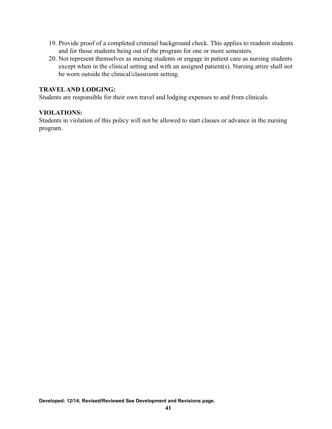- 19. Provide proof of a completed criminal background check. This applies to readmit students and for those students being out of the program for one or more semesters.
- 20. Not represent themselves as nursing students or engage in patient care as nursing students except when in the clinical setting and with an assigned patient(s). Nursing attire shall not be worn outside the clinical/classroom setting.

#### **TRAVELAND LODGING:**

Students are responsible for their own travel and lodging expenses to and from clinicals.

#### **VIOLATIONS:**

Students in violation of this policy will not be allowed to start classes or advance in the nursing program.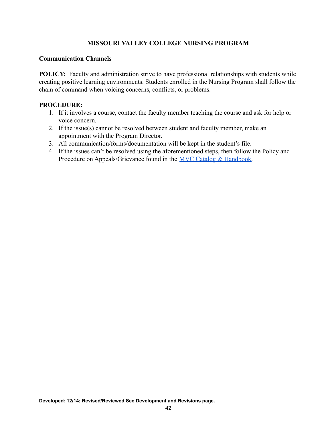#### **Communication Channels**

**POLICY:** Faculty and administration strive to have professional relationships with students while creating positive learning environments. Students enrolled in the Nursing Program shall follow the chain of command when voicing concerns, conflicts, or problems.

- 1. If it involves a course, contact the faculty member teaching the course and ask for help or voice concern.
- 2. If the issue(s) cannot be resolved between student and faculty member, make an appointment with the Program Director.
- 3. All communication/forms/documentation will be kept in the student's file.
- 4. If the issues can't be resolved using the aforementioned steps, then follow the Policy and Procedure on Appeals/Grievance found in the [MVC Catalog](https://www.moval.edu/academics/academic-catalog/) & Handbook.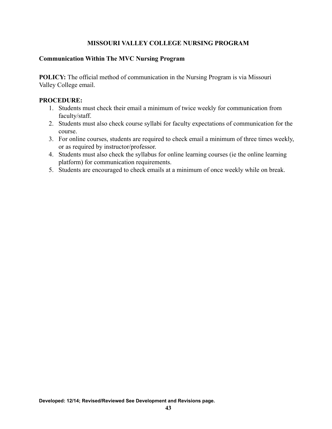### **Communication Within The MVC Nursing Program**

**POLICY:** The official method of communication in the Nursing Program is via Missouri Valley College email.

- 1. Students must check their email a minimum of twice weekly for communication from faculty/staff.
- 2. Students must also check course syllabi for faculty expectations of communication for the course.
- 3. For online courses, students are required to check email a minimum of three times weekly, or as required by instructor/professor.
- 4. Students must also check the syllabus for online learning courses (ie the online learning platform) for communication requirements.
- 5. Students are encouraged to check emails at a minimum of once weekly while on break.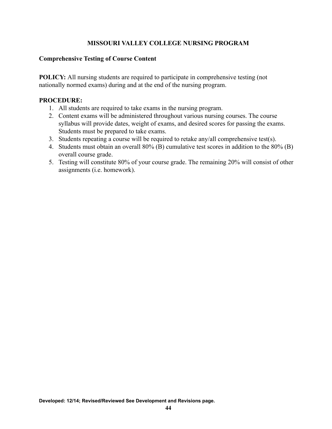#### **Comprehensive Testing of Course Content**

**POLICY:** All nursing students are required to participate in comprehensive testing (not nationally normed exams) during and at the end of the nursing program.

- 1. All students are required to take exams in the nursing program.
- 2. Content exams will be administered throughout various nursing courses. The course syllabus will provide dates, weight of exams, and desired scores for passing the exams. Students must be prepared to take exams.
- 3. Students repeating a course will be required to retake any/all comprehensive test(s).
- 4. Students must obtain an overall 80% (B) cumulative test scores in addition to the 80% (B) overall course grade.
- 5. Testing will constitute 80% of your course grade. The remaining 20% will consist of other assignments (i.e. homework).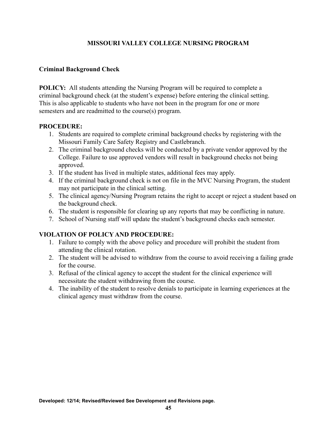## **Criminal Background Check**

**POLICY:** All students attending the Nursing Program will be required to complete a criminal background check (at the student's expense) before entering the clinical setting. This is also applicable to students who have not been in the program for one or more semesters and are readmitted to the course(s) program.

#### **PROCEDURE:**

- 1. Students are required to complete criminal background checks by registering with the Missouri Family Care Safety Registry and Castlebranch.
- 2. The criminal background checks will be conducted by a private vendor approved by the College. Failure to use approved vendors will result in background checks not being approved.
- 3. If the student has lived in multiple states, additional fees may apply.
- 4. If the criminal background check is not on file in the MVC Nursing Program, the student may not participate in the clinical setting.
- 5. The clinical agency/Nursing Program retains the right to accept or reject a student based on the background check.
- 6. The student is responsible for clearing up any reports that may be conflicting in nature.
- 7. School of Nursing staff will update the student's background checks each semester.

## **VIOLATION OF POLICY AND PROCEDURE:**

- 1. Failure to comply with the above policy and procedure will prohibit the student from attending the clinical rotation.
- 2. The student will be advised to withdraw from the course to avoid receiving a failing grade for the course.
- 3. Refusal of the clinical agency to accept the student for the clinical experience will necessitate the student withdrawing from the course.
- 4. The inability of the student to resolve denials to participate in learning experiences at the clinical agency must withdraw from the course.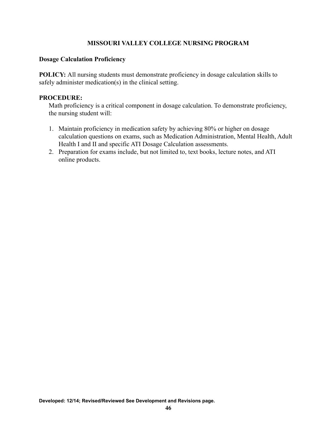#### **Dosage Calculation Proficiency**

**POLICY:** All nursing students must demonstrate proficiency in dosage calculation skills to safely administer medication(s) in the clinical setting.

#### **PROCEDURE:**

Math proficiency is a critical component in dosage calculation. To demonstrate proficiency, the nursing student will:

- 1. Maintain proficiency in medication safety by achieving 80% or higher on dosage calculation questions on exams, such as Medication Administration, Mental Health, Adult Health I and II and specific ATI Dosage Calculation assessments.
- 2. Preparation for exams include, but not limited to, text books, lecture notes, and ATI online products.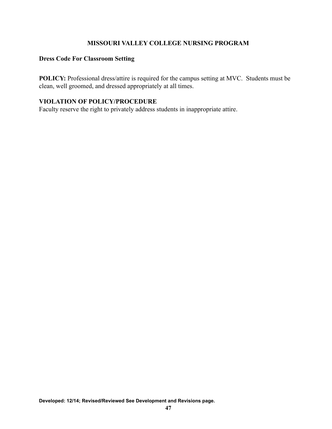### **Dress Code For Classroom Setting**

**POLICY:** Professional dress/attire is required for the campus setting at MVC. Students must be clean, well groomed, and dressed appropriately at all times.

### **VIOLATION OF POLICY/PROCEDURE**

Faculty reserve the right to privately address students in inappropriate attire.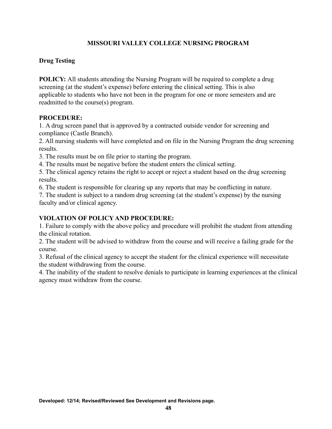# **Drug Testing**

**POLICY:** All students attending the Nursing Program will be required to complete a drug screening (at the student's expense) before entering the clinical setting. This is also applicable to students who have not been in the program for one or more semesters and are readmitted to the course(s) program.

#### **PROCEDURE:**

1. A drug screen panel that is approved by a contracted outside vendor for screening and compliance (Castle Branch).

2. All nursing students will have completed and on file in the Nursing Program the drug screening results.

3. The results must be on file prior to starting the program.

4. The results must be negative before the student enters the clinical setting.

5. The clinical agency retains the right to accept or reject a student based on the drug screening results.

6. The student is responsible for clearing up any reports that may be conflicting in nature.

7. The student is subject to a random drug screening (at the student's expense) by the nursing faculty and/or clinical agency.

## **VIOLATION OF POLICY AND PROCEDURE:**

1. Failure to comply with the above policy and procedure will prohibit the student from attending the clinical rotation.

2. The student will be advised to withdraw from the course and will receive a failing grade for the course.

3. Refusal of the clinical agency to accept the student for the clinical experience will necessitate the student withdrawing from the course.

4. The inability of the student to resolve denials to participate in learning experiences at the clinical agency must withdraw from the course.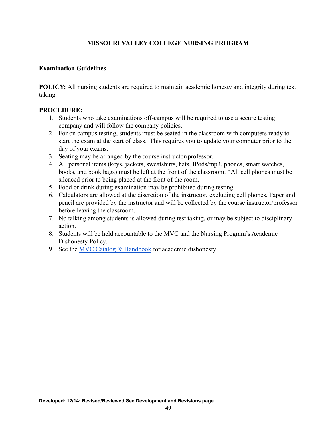#### **Examination Guidelines**

**POLICY:** All nursing students are required to maintain academic honesty and integrity during test taking.

- 1. Students who take examinations off-campus will be required to use a secure testing company and will follow the company policies.
- 2. For on campus testing, students must be seated in the classroom with computers ready to start the exam at the start of class. This requires you to update your computer prior to the day of your exams.
- 3. Seating may be arranged by the course instructor/professor.
- 4. All personal items (keys, jackets, sweatshirts, hats, IPods/mp3, phones, smart watches, books, and book bags) must be left at the front of the classroom. \*All cell phones must be silenced prior to being placed at the front of the room.
- 5. Food or drink during examination may be prohibited during testing.
- 6. Calculators are allowed at the discretion of the instructor, excluding cell phones. Paper and pencil are provided by the instructor and will be collected by the course instructor/professor before leaving the classroom.
- 7. No talking among students is allowed during test taking, or may be subject to disciplinary action.
- 8. Students will be held accountable to the MVC and the Nursing Program's Academic Dishonesty Policy.
- 9. See the MVC Catalog  $&$  Handbook for academic dishonesty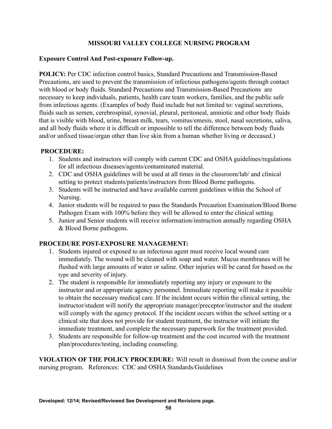## **Exposure Control And Post-exposure Follow-up.**

**POLICY:** Per CDC infection control basics, Standard Precautions and Transmission-Based Precautions, are used to prevent the transmission of infectious pathogens/agents through contact with blood or body fluids. Standard Precautions and Transmission-Based Precautions are necessary to keep individuals, patients, health care team workers, families, and the public safe from infectious agents. (Examples of body fluid include but not limited to: vaginal secretions, fluids such as semen, cerebrospinal, synovial, pleural, peritoneal, amniotic and other body fluids that is visible with blood, urine, breast milk, tears, vomitus/emesis, stool, nasal secretions, saliva, and all body fluids where it is difficult or impossible to tell the difference between body fluids and/or unfixed tissue/organ other than live skin from a human whether living or deceased.)

#### **PROCEDURE:**

- 1. Students and instructors will comply with current CDC and OSHA guidelines/regulations for all infectious diseases/agents/contaminated material.
- 2. CDC and OSHA guidelines will be used at all times in the classroom/lab/ and clinical setting to protect students/patients/instructors from Blood Borne pathogens.
- 3. Students will be instructed and have available current guidelines within the School of Nursing.
- 4. Junior students will be required to pass the Standards Precaution Examination/Blood Borne Pathogen Exam with 100% before they will be allowed to enter the clinical setting.
- 5. Junior and Senior students will receive information/instruction annually regarding OSHA & Blood Borne pathogens.

## **PROCEDURE POST-EXPOSURE MANAGEMENT:**

- 1. Students injured or exposed to an infectious agent must receive local wound care immediately. The wound will be cleaned with soap and water. Mucus membranes will be flushed with large amounts of water or saline. Other injuries will be cared for based on the type and severity of injury.
- 2. The student is responsible for immediately reporting any injury or exposure to the instructor and or appropriate agency personnel. Immediate reporting will make it possible to obtain the necessary medical care. If the incident occurs within the clinical setting, the instructor/student will notify the appropriate manager/preceptor/instructor and the student will comply with the agency protocol. If the incident occurs within the school setting or a clinical site that does not provide for student treatment, the instructor will initiate the immediate treatment, and complete the necessary paperwork for the treatment provided.
- 3. Students are responsible for follow-up treatment and the cost incurred with the treatment plan/procedures/testing, including counseling.

**VIOLATION OF THE POLICY PROCEDURE:** Will result in dismissal from the course and/or nursing program. References: CDC and OSHA Standards/Guidelines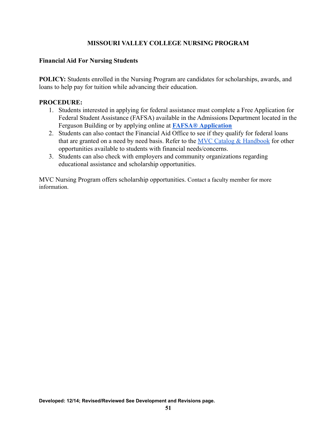#### **Financial Aid For Nursing Students**

**POLICY:** Students enrolled in the Nursing Program are candidates for scholarships, awards, and loans to help pay for tuition while advancing their education.

#### **PROCEDURE:**

- 1. Students interested in applying for federal assistance must complete a Free Application for Federal Student Assistance (FAFSA) available in the Admissions Department located in the Ferguson Building or by applying online at **FAFSA® [Application](http://www.fafsa.ed.gov)**
- 2. Students can also contact the Financial Aid Office to see if they qualify for federal loans that are granted on a need by need basis. Refer to the [MVC Catalog & Handbook](https://www.moval.edu/academics/academic-catalog/) for other opportunities available to students with financial needs/concerns.
- 3. Students can also check with employers and community organizations regarding educational assistance and scholarship opportunities.

MVC Nursing Program offers scholarship opportunities. Contact a faculty member for more information.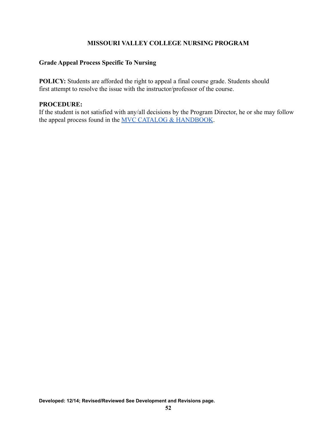# **Grade Appeal Process Specific To Nursing**

**POLICY:** Students are afforded the right to appeal a final course grade. Students should first attempt to resolve the issue with the instructor/professor of the course.

#### **PROCEDURE:**

If the student is not satisfied with any/all decisions by the Program Director, he or she may follow the appeal process found in the [MVC CATALOG & HANDBOOK](https://www.moval.edu/wp-content/uploads/2017/09/1-Catalog-and-Handbook-2019-2020-merged.pdf).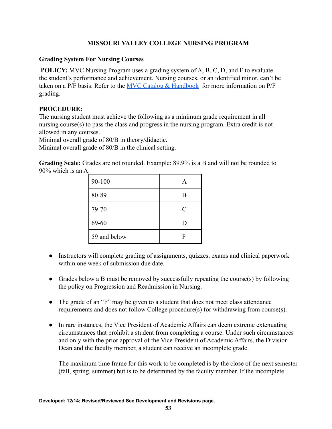### **Grading System For Nursing Courses**

**POLICY:** MVC Nursing Program uses a grading system of A, B, C, D, and F to evaluate the student's performance and achievement. Nursing courses, or an identified minor, can't be taken on a P/F basis. Refer to the MVC Catalog  $&$  Handbook for more information on P/F grading.

## **PROCEDURE:**

The nursing student must achieve the following as a minimum grade requirement in all nursing course(s) to pass the class and progress in the nursing program. Extra credit is not allowed in any courses.

Minimal overall grade of 80/B in theory/didactic.

Minimal overall grade of 80/B in the clinical setting.

**Grading Scale:** Grades are not rounded. Example: 89.9% is a B and will not be rounded to 90% which is an A.

| 90-100       | A         |
|--------------|-----------|
| 80-89        | B         |
| 79-70        | $\subset$ |
| 69-60        | D         |
| 59 and below |           |

- Instructors will complete grading of assignments, quizzes, exams and clinical paperwork within one week of submission due date.
- Grades below a B must be removed by successfully repeating the course(s) by following the policy on Progression and Readmission in Nursing.
- The grade of an "F" may be given to a student that does not meet class attendance requirements and does not follow College procedure(s) for withdrawing from course(s).
- In rare instances, the Vice President of Academic Affairs can deem extreme extenuating circumstances that prohibit a student from completing a course. Under such circumstances and only with the prior approval of the Vice President of Academic Affairs, the Division Dean and the faculty member, a student can receive an incomplete grade.

The maximum time frame for this work to be completed is by the close of the next semester (fall, spring, summer) but is to be determined by the faculty member. If the incomplete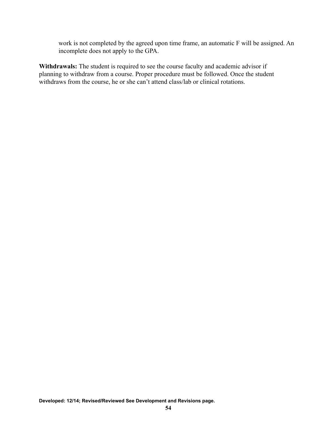work is not completed by the agreed upon time frame, an automatic F will be assigned. An incomplete does not apply to the GPA.

**Withdrawals:** The student is required to see the course faculty and academic advisor if planning to withdraw from a course. Proper procedure must be followed. Once the student withdraws from the course, he or she can't attend class/lab or clinical rotations.

**Developed: 12/14; Revised/Reviewed See Development and Revisions page.**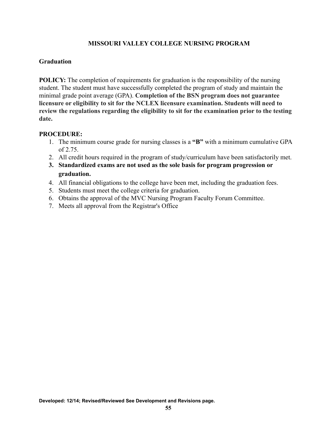### **Graduation**

**POLICY:** The completion of requirements for graduation is the responsibility of the nursing student. The student must have successfully completed the program of study and maintain the minimal grade point average (GPA). **Completion of the BSN program does not guarantee licensure or eligibility to sit for the NCLEX licensure examination. Students will need to review the regulations regarding the eligibility to sit for the examination prior to the testing date.**

- 1. The minimum course grade for nursing classes is a **"B"** with a minimum cumulative GPA of 2.75.
- 2. All credit hours required in the program of study/curriculum have been satisfactorily met.
- **3. Standardized exams are not used as the sole basis for program progression or graduation.**
- 4. All financial obligations to the college have been met, including the graduation fees.
- 5. Students must meet the college criteria for graduation.
- 6. Obtains the approval of the MVC Nursing Program Faculty Forum Committee.
- 7. Meets all approval from the Registrar's Office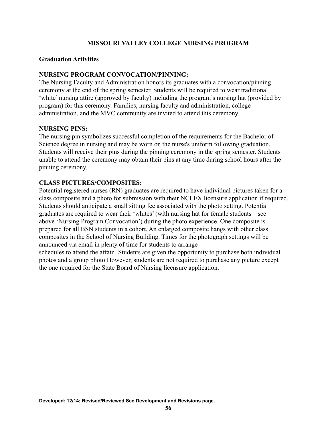#### **Graduation Activities**

#### **NURSING PROGRAM CONVOCATION/PINNING:**

The Nursing Faculty and Administration honors its graduates with a convocation/pinning ceremony at the end of the spring semester. Students will be required to wear traditional 'white' nursing attire (approved by faculty) including the program's nursing hat (provided by program) for this ceremony. Families, nursing faculty and administration, college administration, and the MVC community are invited to attend this ceremony.

#### **NURSING PINS:**

The nursing pin symbolizes successful completion of the requirements for the Bachelor of Science degree in nursing and may be worn on the nurse's uniform following graduation. Students will receive their pins during the pinning ceremony in the spring semester. Students unable to attend the ceremony may obtain their pins at any time during school hours after the pinning ceremony.

## **CLASS PICTURES/COMPOSITES:**

Potential registered nurses (RN) graduates are required to have individual pictures taken for a class composite and a photo for submission with their NCLEX licensure application if required. Students should anticipate a small sitting fee associated with the photo setting. Potential graduates are required to wear their 'whites' (with nursing hat for female students – see above 'Nursing Program Convocation') during the photo experience. One composite is prepared for all BSN students in a cohort. An enlarged composite hangs with other class composites in the School of Nursing Building. Times for the photograph settings will be announced via email in plenty of time for students to arrange

schedules to attend the affair. Students are given the opportunity to purchase both individual photos and a group photo However, students are not required to purchase any picture except the one required for the State Board of Nursing licensure application.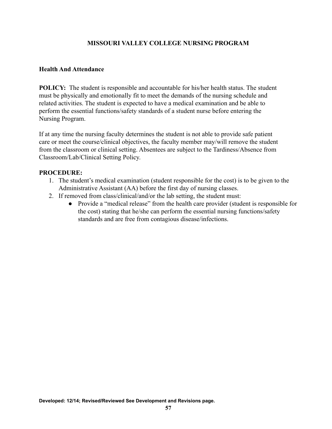### **Health And Attendance**

**POLICY:** The student is responsible and accountable for his/her health status. The student must be physically and emotionally fit to meet the demands of the nursing schedule and related activities. The student is expected to have a medical examination and be able to perform the essential functions/safety standards of a student nurse before entering the Nursing Program.

If at any time the nursing faculty determines the student is not able to provide safe patient care or meet the course/clinical objectives, the faculty member may/will remove the student from the classroom or clinical setting. Absentees are subject to the Tardiness/Absence from Classroom/Lab/Clinical Setting Policy.

- 1. The student's medical examination (student responsible for the cost) is to be given to the Administrative Assistant (AA) before the first day of nursing classes.
- 2. If removed from class/clinical/and/or the lab setting, the student must:
	- Provide a "medical release" from the health care provider (student is responsible for the cost) stating that he/she can perform the essential nursing functions/safety standards and are free from contagious disease/infections.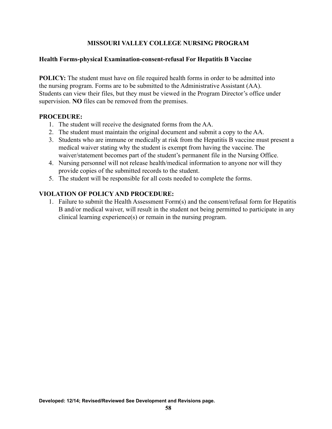#### **Health Forms-physical Examination-consent-refusal For Hepatitis B Vaccine**

**POLICY:** The student must have on file required health forms in order to be admitted into the nursing program. Forms are to be submitted to the Administrative Assistant (AA). Students can view their files, but they must be viewed in the Program Director's office under supervision. **NO** files can be removed from the premises.

#### **PROCEDURE:**

- 1. The student will receive the designated forms from the AA.
- 2. The student must maintain the original document and submit a copy to the AA.
- 3. Students who are immune or medically at risk from the Hepatitis B vaccine must present a medical waiver stating why the student is exempt from having the vaccine. The waiver/statement becomes part of the student's permanent file in the Nursing Office.
- 4. Nursing personnel will not release health/medical information to anyone nor will they provide copies of the submitted records to the student.
- 5. The student will be responsible for all costs needed to complete the forms.

## **VIOLATION OF POLICY AND PROCEDURE:**

1. Failure to submit the Health Assessment Form(s) and the consent/refusal form for Hepatitis B and/or medical waiver, will result in the student not being permitted to participate in any clinical learning experience(s) or remain in the nursing program.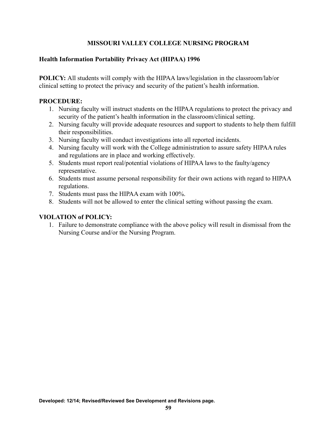## **Health Information Portability Privacy Act (HIPAA) 1996**

**POLICY:** All students will comply with the HIPAA laws/legislation in the classroom/lab/or clinical setting to protect the privacy and security of the patient's health information.

#### **PROCEDURE:**

- 1. Nursing faculty will instruct students on the HIPAA regulations to protect the privacy and security of the patient's health information in the classroom/clinical setting.
- 2. Nursing faculty will provide adequate resources and support to students to help them fulfill their responsibilities.
- 3. Nursing faculty will conduct investigations into all reported incidents.
- 4. Nursing faculty will work with the College administration to assure safety HIPAA rules and regulations are in place and working effectively.
- 5. Students must report real/potential violations of HIPAA laws to the faulty/agency representative.
- 6. Students must assume personal responsibility for their own actions with regard to HIPAA regulations.
- 7. Students must pass the HIPAA exam with 100%.
- 8. Students will not be allowed to enter the clinical setting without passing the exam.

#### **VIOLATION of POLICY:**

1. Failure to demonstrate compliance with the above policy will result in dismissal from the Nursing Course and/or the Nursing Program.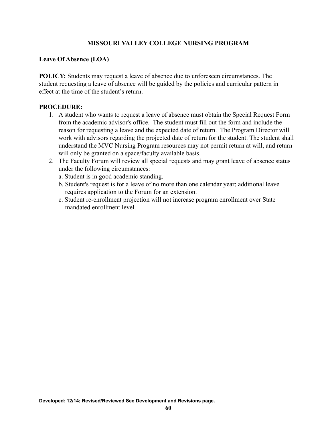# **Leave Of Absence (LOA)**

**POLICY:** Students may request a leave of absence due to unforeseen circumstances. The student requesting a leave of absence will be guided by the policies and curricular pattern in effect at the time of the student's return.

- 1. A student who wants to request a leave of absence must obtain the Special Request Form from the academic advisor's office. The student must fill out the form and include the reason for requesting a leave and the expected date of return. The Program Director will work with advisors regarding the projected date of return for the student. The student shall understand the MVC Nursing Program resources may not permit return at will, and return will only be granted on a space/faculty available basis.
- 2. The Faculty Forum will review all special requests and may grant leave of absence status under the following circumstances:
	- a. Student is in good academic standing.
	- b. Student's request is for a leave of no more than one calendar year; additional leave requires application to the Forum for an extension.
	- c. Student re-enrollment projection will not increase program enrollment over State mandated enrollment level.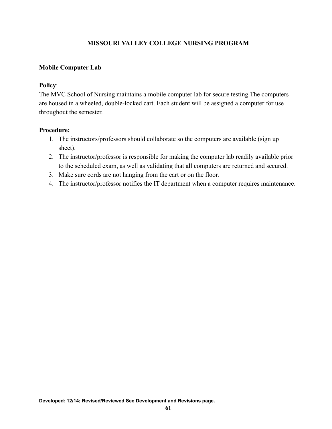## **Mobile Computer Lab**

#### **Policy**:

The MVC School of Nursing maintains a mobile computer lab for secure testing.The computers are housed in a wheeled, double-locked cart. Each student will be assigned a computer for use throughout the semester.

#### **Procedure:**

- 1. The instructors/professors should collaborate so the computers are available (sign up sheet).
- 2. The instructor/professor is responsible for making the computer lab readily available prior to the scheduled exam, as well as validating that all computers are returned and secured.
- 3. Make sure cords are not hanging from the cart or on the floor.
- 4. The instructor/professor notifies the IT department when a computer requires maintenance.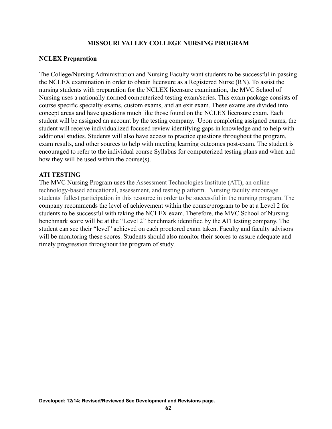#### **NCLEX Preparation**

The College/Nursing Administration and Nursing Faculty want students to be successful in passing the NCLEX examination in order to obtain licensure as a Registered Nurse (RN). To assist the nursing students with preparation for the NCLEX licensure examination, the MVC School of Nursing uses a nationally normed computerized testing exam/series. This exam package consists of course specific specialty exams, custom exams, and an exit exam. These exams are divided into concept areas and have questions much like those found on the NCLEX licensure exam. Each student will be assigned an account by the testing company. Upon completing assigned exams, the student will receive individualized focused review identifying gaps in knowledge and to help with additional studies. Students will also have access to practice questions throughout the program, exam results, and other sources to help with meeting learning outcomes post-exam. The student is encouraged to refer to the individual course Syllabus for computerized testing plans and when and how they will be used within the course(s).

#### **ATI TESTING**

The MVC Nursing Program uses the Assessment Technologies Institute (ATI), an online technology-based educational, assessment, and testing platform. Nursing faculty encourage students' fullest participation in this resource in order to be successful in the nursing program. The company recommends the level of achievement within the course/program to be at a Level 2 for students to be successful with taking the NCLEX exam. Therefore, the MVC School of Nursing benchmark score will be at the "Level 2" benchmark identified by the ATI testing company. The student can see their "level" achieved on each proctored exam taken. Faculty and faculty advisors will be monitoring these scores. Students should also monitor their scores to assure adequate and timely progression throughout the program of study.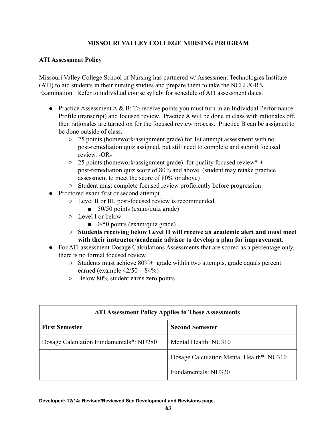## **ATI Assessment Policy**

Missouri Valley College School of Nursing has partnered w/ Assessment Technologies Institute (ATI) to aid students in their nursing studies and prepare them to take the NCLEX-RN Examination. Refer to individual course syllabi for schedule of ATI assessment dates.

- Practice Assessment  $A \& B$ : To receive points you must turn in an Individual Performance Profile (transcript) and focused review. Practice A will be done in class with rationales off, then rationales are turned on for the focused review process. Practice B can be assigned to be done outside of class.
	- 25 points (homework/assignment grade) for 1st attempt assessment with no post-remediation quiz assigned, but still need to complete and submit focused review. -OR-
	- $\circ$  25 points (homework/assignment grade) for quality focused review<sup>\*</sup> + post-remediation quiz score of 80% and above. (student may retake practice assessment to meet the score of 80% or above)
	- Student must complete focused review proficiently before progression
- Proctored exam first or second attempt.
	- Level II or III, post-focused review is recommended.
		- $\Box$  50/50 points (exam/quiz grade)
	- Level I or below
		- $\Box$  0/50 points (exam/quiz grade)
	- **Students receiving below Level II will receive an academic alert and must meet with their instructor/academic advisor to develop a plan for improvement.**
- For ATI assessment Dosage Calculations Assessments that are scored as a percentage only, there is no formal focused review.
	- $\circ$  Students must achieve 80%+ grade within two attempts, grade equals percent earned (example  $42/50 = 84\%$ )
	- Below 80% student earns zero points

| <b>ATI Assessment Policy Applies to These Assessments</b> |                                          |
|-----------------------------------------------------------|------------------------------------------|
| <b>First Semester</b>                                     | <b>Second Semester</b>                   |
| Dosage Calculation Fundamentals*: NU280                   | Mental Health: NU310                     |
|                                                           | Dosage Calculation Mental Health*: NU310 |
|                                                           | Fundamentals: NU320                      |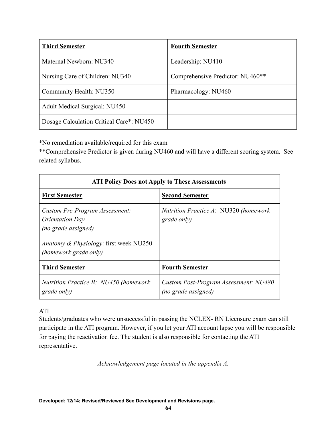| <b>Third Semester</b>                    | <b>Fourth Semester</b>           |
|------------------------------------------|----------------------------------|
| Maternal Newborn: NU340                  | Leadership: NU410                |
| Nursing Care of Children: NU340          | Comprehensive Predictor: NU460** |
| Community Health: NU350                  | Pharmacology: NU460              |
| <b>Adult Medical Surgical: NU450</b>     |                                  |
| Dosage Calculation Critical Care*: NU450 |                                  |

\*No remediation available/required for this exam

\*\*Comprehensive Predictor is given during NU460 and will have a different scoring system. See related syllabus.

| <b>ATI Policy Does not Apply to These Assessments</b>                           |                                                               |  |
|---------------------------------------------------------------------------------|---------------------------------------------------------------|--|
| <b>First Semester</b>                                                           | <b>Second Semester</b>                                        |  |
| Custom Pre-Program Assessment:<br><i>Orientation Day</i><br>(no grade assigned) | <i>Nutrition Practice A: NU320 (homework</i> )<br>grade only) |  |
| <i>Anatomy &amp; Physiology: first week NU250</i><br>(homework grade only)      |                                                               |  |
| <b>Third Semester</b>                                                           | <b>Fourth Semester</b>                                        |  |
| <b>Nutrition Practice B: NU450 (homework</b><br>grade only)                     | Custom Post-Program Assessment: NU480<br>(no grade assigned)  |  |

# ATI

Students/graduates who were unsuccessful in passing the NCLEX- RN Licensure exam can still participate in the ATI program. However, if you let your ATI account lapse you will be responsible for paying the reactivation fee. The student is also responsible for contacting the ATI representative.

*Acknowledgement page located in the appendix A.*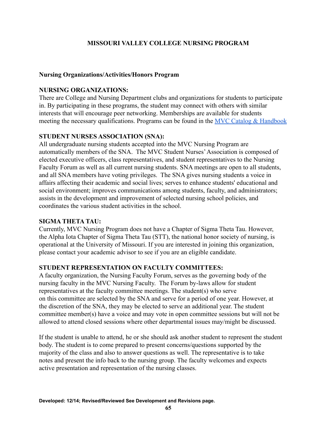#### **Nursing Organizations/Activities/Honors Program**

#### **NURSING ORGANIZATIONS:**

There are College and Nursing Department clubs and organizations for students to participate in. By participating in these programs, the student may connect with others with similar interests that will encourage peer networking. Memberships are available for students meeting the necessary qualifications. Programs can be found in the [MVC Catalog & Handbook](https://www.moval.edu/academics/academic-catalog/)

#### **STUDENT NURSES ASSOCIATION (SNA):**

All undergraduate nursing students accepted into the MVC Nursing Program are automatically members of the SNA. The MVC Student Nurses'Association is composed of elected executive officers, class representatives, and student representatives to the Nursing Faculty Forum as well as all current nursing students. SNA meetings are open to all students, and all SNA members have voting privileges. The SNA gives nursing students a voice in affairs affecting their academic and social lives; serves to enhance students' educational and social environment; improves communications among students, faculty, and administrators; assists in the development and improvement of selected nursing school policies, and coordinates the various student activities in the school.

## **SIGMA THETA TAU:**

Currently, MVC Nursing Program does not have a Chapter of Sigma Theta Tau. However, the Alpha Iota Chapter of Sigma Theta Tau (STT), the national honor society of nursing, is operational at the University of Missouri. If you are interested in joining this organization, please contact your academic advisor to see if you are an eligible candidate.

## **STUDENT REPRESENTATION ON FACULTY COMMITTEES:**

A faculty organization, the Nursing Faculty Forum, serves as the governing body of the nursing faculty in the MVC Nursing Faculty. The Forum by-laws allow for student representatives at the faculty committee meetings. The student(s) who serve on this committee are selected by the SNA and serve for a period of one year. However, at the discretion of the SNA, they may be elected to serve an additional year. The student committee member(s) have a voice and may vote in open committee sessions but will not be allowed to attend closed sessions where other departmental issues may/might be discussed.

If the student is unable to attend, he or she should ask another student to represent the student body. The student is to come prepared to present concerns/questions supported by the majority of the class and also to answer questions as well. The representative is to take notes and present the info back to the nursing group. The faculty welcomes and expects active presentation and representation of the nursing classes.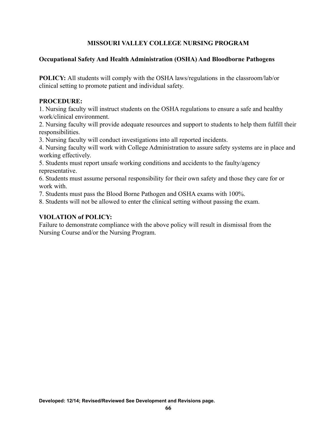#### **Occupational Safety And Health Administration (OSHA) And Bloodborne Pathogens**

**POLICY:** All students will comply with the OSHA laws/regulations in the classroom/lab/or clinical setting to promote patient and individual safety.

#### **PROCEDURE:**

1. Nursing faculty will instruct students on the OSHA regulations to ensure a safe and healthy work/clinical environment.

2. Nursing faculty will provide adequate resources and support to students to help them fulfill their responsibilities.

3. Nursing faculty will conduct investigations into all reported incidents.

4. Nursing faculty will work with College Administration to assure safety systems are in place and working effectively.

5. Students must report unsafe working conditions and accidents to the faulty/agency representative.

6. Students must assume personal responsibility for their own safety and those they care for or work with.

7. Students must pass the Blood Borne Pathogen and OSHA exams with 100%.

8. Students will not be allowed to enter the clinical setting without passing the exam.

## **VIOLATION of POLICY:**

Failure to demonstrate compliance with the above policy will result in dismissal from the Nursing Course and/or the Nursing Program.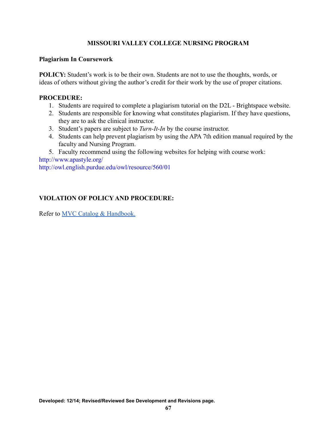#### **Plagiarism In Coursework**

**POLICY:** Student's work is to be their own. Students are not to use the thoughts, words, or ideas of others without giving the author's credit for their work by the use of proper citations.

### **PROCEDURE:**

- 1. Students are required to complete a plagiarism tutorial on the D2L Brightspace website.
- 2. Students are responsible for knowing what constitutes plagiarism. If they have questions, they are to ask the clinical instructor.
- 3. Student's papers are subject to *Turn-It-In* by the course instructor.
- 4. Students can help prevent plagiarism by using the APA 7th edition manual required by the faculty and Nursing Program.
- 5. Faculty recommend using the following websites for helping with course work:

<http://www.apastyle.org/> <http://owl.english.purdue.edu/owl/resource/560/01>

# **VIOLATION OF POLICY AND PROCEDURE:**

Refer to [MVC Catalog & Handbook.](https://www.moval.edu/wp-content/uploads/2017/09/Catalog-and-Handbook-2020-2021-v3.pdf)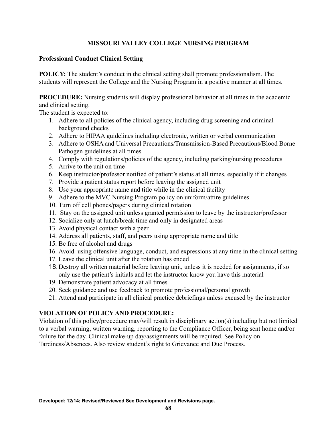### **Professional Conduct Clinical Setting**

**POLICY:** The student's conduct in the clinical setting shall promote professionalism. The students will represent the College and the Nursing Program in a positive manner at all times.

**PROCEDURE:** Nursing students will display professional behavior at all times in the academic and clinical setting.

The student is expected to:

- 1. Adhere to all policies of the clinical agency, including drug screening and criminal background checks
- 2. Adhere to HIPAA guidelines including electronic, written or verbal communication
- 3. Adhere to OSHA and Universal Precautions/Transmission-Based Precautions/Blood Borne Pathogen guidelines at all times
- 4. Comply with regulations/policies of the agency, including parking/nursing procedures
- 5. Arrive to the unit on time
- 6. Keep instructor/professor notified of patient's status at all times, especially if it changes
- 7. Provide a patient status report before leaving the assigned unit
- 8. Use your appropriate name and title while in the clinical facility
- 9. Adhere to the MVC Nursing Program policy on uniform/attire guidelines
- 10. Turn off cell phones/pagers during clinical rotation
- 11. Stay on the assigned unit unless granted permission to leave by the instructor/professor
- 12. Socialize only at lunch/break time and only in designated areas
- 13. Avoid physical contact with a peer
- 14. Address all patients, staff, and peers using appropriate name and title
- 15. Be free of alcohol and drugs
- 16. Avoid using offensive language, conduct, and expressions at any time in the clinical setting
- 17. Leave the clinical unit after the rotation has ended
- 18.Destroy all written material before leaving unit, unless it is needed for assignments, if so only use the patient's initials and let the instructor know you have this material
- 19. Demonstrate patient advocacy at all times
- 20. Seek guidance and use feedback to promote professional/personal growth
- 21. Attend and participate in all clinical practice debriefings unless excused by the instructor

# **VIOLATION OF POLICY AND PROCEDURE:**

Violation of this policy/procedure may/will result in disciplinary action(s) including but not limited to a verbal warning, written warning, reporting to the Compliance Officer, being sent home and/or failure for the day. Clinical make-up day/assignments will be required. See Policy on Tardiness/Absences. Also review student's right to Grievance and Due Process.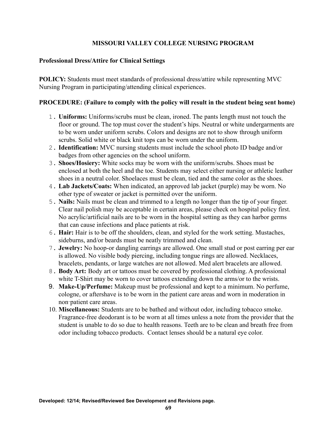#### **Professional Dress/Attire for Clinical Settings**

**POLICY:** Students must meet standards of professional dress/attire while representing MVC Nursing Program in participating/attending clinical experiences.

### **PROCEDURE: (Failure to comply with the policy will result in the student being sent home)**

- 1. **Uniforms:** Uniforms/scrubs must be clean, ironed. The pants length must not touch the floor or ground. The top must cover the student's hips. Neutral or white undergarments are to be worn under uniform scrubs. Colors and designs are not to show through uniform scrubs. Solid white or black knit tops can be worn under the uniform.
- 2. **Identification:** MVC nursing students must include the school photo ID badge and/or badges from other agencies on the school uniform.
- 3. **Shoes/Hosiery:** White socks may be worn with the uniform/scrubs. Shoes must be enclosed at both the heel and the toe. Students may select either nursing or athletic leather shoes in a neutral color. Shoelaces must be clean, tied and the same color as the shoes.
- 4. **Lab Jackets/Coats:** When indicated, an approved lab jacket (purple) may be worn. No other type of sweater or jacket is permitted over the uniform.
- 5. **Nails:** Nails must be clean and trimmed to a length no longer than the tip of your finger. Clear nail polish may be acceptable in certain areas, please check on hospital policy first. No acrylic/artificial nails are to be worn in the hospital setting as they can harbor germs that can cause infections and place patients at risk.
- 6. **Hair:** Hair is to be off the shoulders, clean, and styled for the work setting. Mustaches, sideburns, and/or beards must be neatly trimmed and clean.
- 7. **Jewelry:** No hoop-or dangling earrings are allowed. One small stud or post earring per ear is allowed. No visible body piercing, including tongue rings are allowed. Necklaces, bracelets, pendants, or large watches are not allowed. Med alert bracelets are allowed.
- 8. **Body Art:** Body art or tattoos must be covered by professional clothing. A professional white T-Shirt may be worn to cover tattoos extending down the arms/or to the wrists.
- 9. **Make-Up/Perfume:** Makeup must be professional and kept to a minimum. No perfume, cologne, or aftershave is to be worn in the patient care areas and worn in moderation in non‑patient care areas.
- 10. **Miscellaneous:** Students are to be bathed and without odor, including tobacco smoke. Fragrance-free deodorant is to be worn at all times unless a note from the provider that the student is unable to do so due to health reasons. Teeth are to be clean and breath free from odor including tobacco products. Contact lenses should be a natural eye color.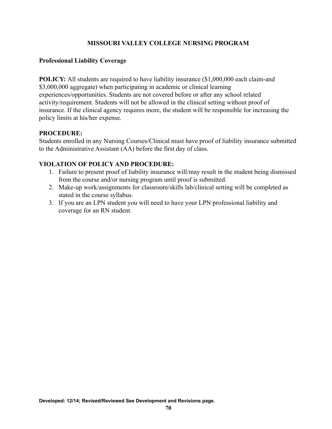### **Professional Liability Coverage**

**POLICY:** All students are required to have liability insurance  $(\$1,000,000$  each claim-and \$3,000,000 aggregate) when participating in academic or clinical learning experiences/opportunities. Students are not covered before or after any school related activity/requirement. Students will not be allowed in the clinical setting without proof of insurance. If the clinical agency requires more, the student will be responsible for increasing the policy limits at his/her expense.

## **PROCEDURE:**

Students enrolled in any Nursing Courses/Clinical must have proof of liability insurance submitted to the Administrative Assistant (AA) before the first day of class.

## **VIOLATION OF POLICY AND PROCEDURE:**

- 1. Failure to present proof of liability insurance will/may result in the student being dismissed from the course and/or nursing program until proof is submitted.
- 2. Make-up work/assignments for classroom/skills lab/clinical setting will be completed as stated in the course syllabus.
- 3. If you are an LPN student you will need to have your LPN professional liability and coverage for an RN student.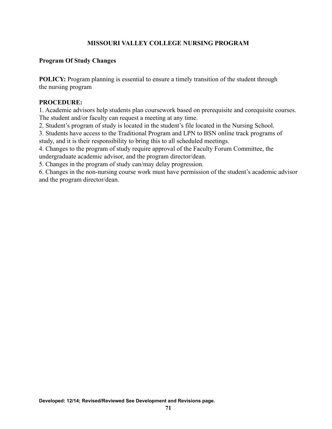### **Program Of Study Changes**

**POLICY:** Program planning is essential to ensure a timely transition of the student through the nursing program

#### **PROCEDURE:**

1. Academic advisors help students plan coursework based on prerequisite and corequisite courses. The student and/or faculty can request a meeting at any time.

2. Student's program of study is located in the student's file located in the Nursing School.

3. Students have access to the Traditional Program and LPN to BSN online track programs of study, and it is their responsibility to bring this to all scheduled meetings.

4. Changes to the program of study require approval of the Faculty Forum Committee, the undergraduate academic advisor, and the program director/dean.

5. Changes in the program of study can/may delay progression.

6. Changes in the non-nursing course work must have permission of the student's academic advisor and the program director/dean.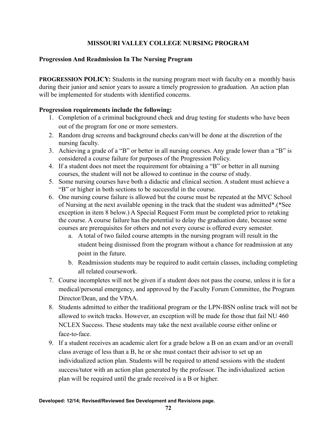### **Progression And Readmission In The Nursing Program**

**PROGRESSION POLICY:** Students in the nursing program meet with faculty on a monthly basis during their junior and senior years to assure a timely progression to graduation. An action plan will be implemented for students with identified concerns.

#### **Progression requirements include the following:**

- 1. Completion of a criminal background check and drug testing for students who have been out of the program for one or more semesters.
- 2. Random drug screens and background checks can/will be done at the discretion of the nursing faculty.
- 3. Achieving a grade of a "B" or better in all nursing courses. Any grade lower than a "B" is considered a course failure for purposes of the Progression Policy.
- 4. If a student does not meet the requirement for obtaining a "B" or better in all nursing courses, the student will not be allowed to continue in the course of study.
- 5. Some nursing courses have both a didactic and clinical section. A student must achieve a "B" or higher in both sections to be successful in the course.
- 6. One nursing course failure is allowed but the course must be repeated at the MVC School of Nursing at the next available opening in the track that the student was admitted\*.(\*See exception in item 8 below.) A Special Request Form must be completed prior to retaking the course. A course failure has the potential to delay the graduation date, because some courses are prerequisites for others and not every course is offered every semester.
	- a. A total of two failed course attempts in the nursing program will result in the student being dismissed from the program without a chance for readmission at any point in the future.
	- b. Readmission students may be required to audit certain classes, including completing all related coursework.
- 7. Course incompletes will not be given if a student does not pass the course, unless it is for a medical/personal emergency, and approved by the Faculty Forum Committee, the Program Director/Dean, and the VPAA.
- 8. Students admitted to either the traditional program or the LPN-BSN online track will not be allowed to switch tracks. However, an exception will be made for those that fail NU 460 NCLEX Success. These students may take the next available course either online or face-to-face.
- 9. If a student receives an academic alert for a grade below a B on an exam and/or an overall class average of less than a B, he or she must contact their advisor to set up an individualized action plan. Students will be required to attend sessions with the student success/tutor with an action plan generated by the professor. The individualized action plan will be required until the grade received is a B or higher.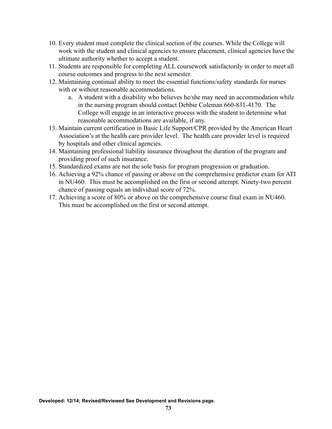- 10. Every student must complete the clinical section of the courses. While the College will work with the student and clinical agencies to ensure placement, clinical agencies have the ultimate authority whether to accept a student.
- 11. Students are responsible for completing ALL coursework satisfactorily in order to meet all course outcomes and progress to the next semester.
- 12. Maintaining continual ability to meet the essential functions/safety standards for nurses with or without reasonable accommodations.
	- a. A student with a disability who believes he/she may need an accommodation while in the nursing program should contact Debbie Coleman 660-831-4170. The College will engage in an interactive process with the student to determine what reasonable accommodations are available, if any.
- 13. Maintain current certification in Basic Life Support/CPR provided by the American Heart Association's at the health care provider level. The health care provider level is required by hospitals and other clinical agencies.
- 14. Maintaining professional liability insurance throughout the duration of the program and providing proof of such insurance.
- 15. Standardized exams are not the sole basis for program progression or graduation.
- 16. Achieving a 92% chance of passing or above on the comprehensive predictor exam for ATI in NU460. This must be accomplished on the first or second attempt. Ninety-two percent chance of passing equals an individual score of 72%.
- 17. Achieving a score of 80% or above on the comprehensive course final exam in NU460. This must be accomplished on the first or second attempt.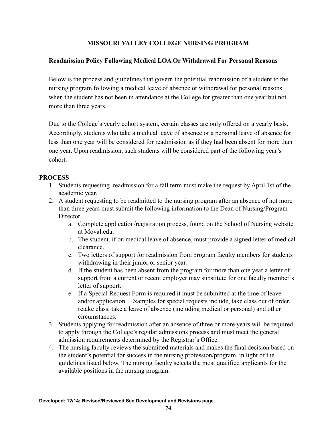## **Readmission Policy Following Medical LOA Or Withdrawal For Personal Reasons**

Below is the process and guidelines that govern the potential readmission of a student to the nursing program following a medical leave of absence or withdrawal for personal reasons when the student has not been in attendance at the College for greater than one year but not more than three years.

Due to the College's yearly cohort system, certain classes are only offered on a yearly basis. Accordingly, students who take a medical leave of absence or a personal leave of absence for less than one year will be considered for readmission as if they had been absent for more than one year. Upon readmission, such students will be considered part of the following year's cohort.

#### **PROCESS**

- 1. Students requesting readmission for a fall term must make the request by April 1st of the academic year.
- 2. A student requesting to be readmitted to the nursing program after an absence of not more than three years must submit the following information to the Dean of Nursing/Program Director
	- a. Complete application/registration process, found on the School of Nursing website at Moval.edu.
	- b. The student, if on medical leave of absence, must provide a signed letter of medical clearance.
	- c. Two letters of support for readmission from program faculty members for students withdrawing in their junior or senior year.
	- d. If the student has been absent from the program for more than one year a letter of support from a current or recent employer may substitute for one faculty member's letter of support.
	- e. If a Special Request Form is required it must be submitted at the time of leave and/or application. Examples for special requests include, take class out of order, retake class, take a leave of absence (including medical or personal) and other circumstances.
- 3. Students applying for readmission after an absence of three or more years will be required to apply through the College's regular admissions process and must meet the general admission requirements determined by the Registrar's Office.
- 4. The nursing faculty reviews the submitted materials and makes the final decision based on the student's potential for success in the nursing profession/program, in light of the guidelines listed below. The nursing faculty selects the most qualified applicants for the available positions in the nursing program.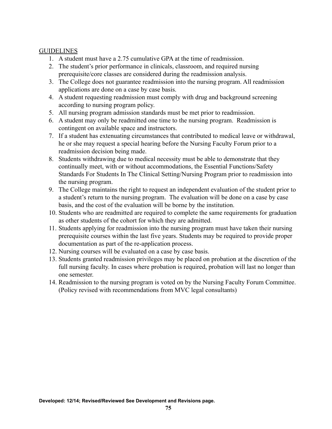## **GUIDELINES**

- 1. A student must have a 2.75 cumulative GPA at the time of readmission.
- 2. The student's prior performance in clinicals, classroom, and required nursing prerequisite/core classes are considered during the readmission analysis.
- 3. The College does not guarantee readmission into the nursing program. All readmission applications are done on a case by case basis.
- 4. A student requesting readmission must comply with drug and background screening according to nursing program policy.
- 5. All nursing program admission standards must be met prior to readmission.
- 6. A student may only be readmitted one time to the nursing program. Readmission is contingent on available space and instructors.
- 7. If a student has extenuating circumstances that contributed to medical leave or withdrawal, he or she may request a special hearing before the Nursing Faculty Forum prior to a readmission decision being made.
- 8. Students withdrawing due to medical necessity must be able to demonstrate that they continually meet, with or without accommodations, the Essential Functions/Safety Standards For Students In The Clinical Setting/Nursing Program prior to readmission into the nursing program.
- 9. The College maintains the right to request an independent evaluation of the student prior to a student's return to the nursing program. The evaluation will be done on a case by case basis, and the cost of the evaluation will be borne by the institution.
- 10. Students who are readmitted are required to complete the same requirements for graduation as other students of the cohort for which they are admitted.
- 11. Students applying for readmission into the nursing program must have taken their nursing prerequisite courses within the last five years. Students may be required to provide proper documentation as part of the re-application process.
- 12. Nursing courses will be evaluated on a case by case basis.
- 13. Students granted readmission privileges may be placed on probation at the discretion of the full nursing faculty. In cases where probation is required, probation will last no longer than one semester.
- 14. Readmission to the nursing program is voted on by the Nursing Faculty Forum Committee. (Policy revised with recommendations from MVC legal consultants)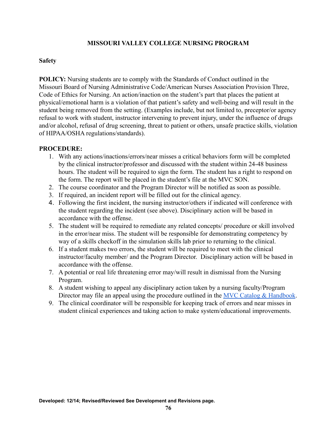#### **Safety**

**POLICY:** Nursing students are to comply with the Standards of Conduct outlined in the Missouri Board of Nursing Administrative Code/American Nurses Association Provision Three, Code of Ethics for Nursing. An action/inaction on the student's part that places the patient at physical/emotional harm is a violation of that patient's safety and well-being and will result in the student being removed from the setting. (Examples include, but not limited to, preceptor/or agency refusal to work with student, instructor intervening to prevent injury, under the influence of drugs and/or alcohol, refusal of drug screening, threat to patient or others, unsafe practice skills, violation of HIPAA/OSHA regulations/standards).

- 1. With any actions/inactions/errors/near misses a critical behaviors form will be completed by the clinical instructor/professor and discussed with the student within 24-48 business hours. The student will be required to sign the form. The student has a right to respond on the form. The report will be placed in the student's file at the MVC SON.
- 2. The course coordinator and the Program Director will be notified as soon as possible.
- 3. If required, an incident report will be filled out for the clinical agency.
- 4. Following the first incident, the nursing instructor/others if indicated will conference with the student regarding the incident (see above). Disciplinary action will be based in accordance with the offense.
- 5. The student will be required to remediate any related concepts/ procedure or skill involved in the error/near miss. The student will be responsible for demonstrating competency by way of a skills checkoff in the simulation skills lab prior to returning to the clinical.
- 6. If a student makes two errors, the student will be required to meet with the clinical instructor/faculty member/ and the Program Director. Disciplinary action will be based in accordance with the offense.
- 7. A potential or real life threatening error may/will result in dismissal from the Nursing Program.
- 8. A student wishing to appeal any disciplinary action taken by a nursing faculty/Program Director may file an appeal using the procedure outlined in the [MVC Catalog & Handbook](https://www.moval.edu/wp-content/uploads/2017/09/Catalog-and-Handbook-2020-2021-v3.pdf).
- 9. The clinical coordinator will be responsible for keeping track of errors and near misses in student clinical experiences and taking action to make system/educational improvements.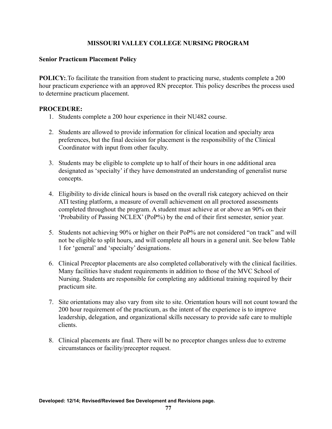## **Senior Practicum Placement Policy**

**POLICY:**.To facilitate the transition from student to practicing nurse, students complete a 200 hour practicum experience with an approved RN preceptor. This policy describes the process used to determine practicum placement.

- 1. Students complete a 200 hour experience in their NU482 course.
- 2. Students are allowed to provide information for clinical location and specialty area preferences, but the final decision for placement is the responsibility of the Clinical Coordinator with input from other faculty.
- 3. Students may be eligible to complete up to half of their hours in one additional area designated as 'specialty' if they have demonstrated an understanding of generalist nurse concepts.
- 4. Eligibility to divide clinical hours is based on the overall risk category achieved on their ATI testing platform, a measure of overall achievement on all proctored assessments completed throughout the program. A student must achieve at or above an 90% on their 'Probability of Passing NCLEX' (PoP%) by the end of their first semester, senior year.
- 5. Students not achieving 90% or higher on their PoP% are not considered "on track" and will not be eligible to split hours, and will complete all hours in a general unit. See below Table 1 for 'general' and 'specialty' designations.
- 6. Clinical Preceptor placements are also completed collaboratively with the clinical facilities. Many facilities have student requirements in addition to those of the MVC School of Nursing. Students are responsible for completing any additional training required by their practicum site.
- 7. Site orientations may also vary from site to site. Orientation hours will not count toward the 200 hour requirement of the practicum, as the intent of the experience is to improve leadership, delegation, and organizational skills necessary to provide safe care to multiple clients.
- 8. Clinical placements are final. There will be no preceptor changes unless due to extreme circumstances or facility/preceptor request.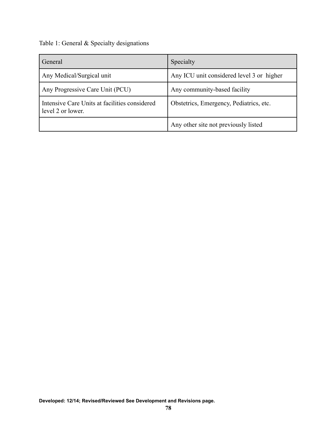Table 1: General & Specialty designations

| General                                                            | Specialty                                 |
|--------------------------------------------------------------------|-------------------------------------------|
| Any Medical/Surgical unit                                          | Any ICU unit considered level 3 or higher |
| Any Progressive Care Unit (PCU)                                    | Any community-based facility              |
| Intensive Care Units at facilities considered<br>level 2 or lower. | Obstetrics, Emergency, Pediatrics, etc.   |
|                                                                    | Any other site not previously listed      |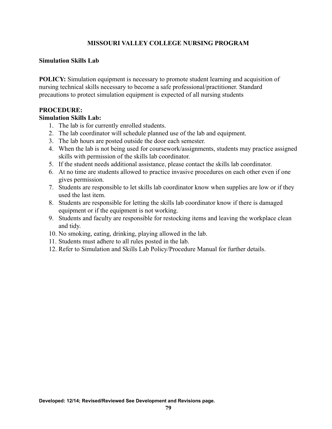#### **Simulation Skills Lab**

**POLICY:** Simulation equipment is necessary to promote student learning and acquisition of nursing technical skills necessary to become a safe professional/practitioner. Standard precautions to protect simulation equipment is expected of all nursing students

#### **PROCEDURE:**

#### **Simulation Skills Lab:**

- 1. The lab is for currently enrolled students.
- 2. The lab coordinator will schedule planned use of the lab and equipment.
- 3. The lab hours are posted outside the door each semester.
- 4. When the lab is not being used for coursework/assignments, students may practice assigned skills with permission of the skills lab coordinator.
- 5. If the student needs additional assistance, please contact the skills lab coordinator.
- 6. At no time are students allowed to practice invasive procedures on each other even if one gives permission.
- 7. Students are responsible to let skills lab coordinator know when supplies are low or if they used the last item.
- 8. Students are responsible for letting the skills lab coordinator know if there is damaged equipment or if the equipment is not working.
- 9. Students and faculty are responsible for restocking items and leaving the workplace clean and tidy.
- 10. No smoking, eating, drinking, playing allowed in the lab.
- 11. Students must adhere to all rules posted in the lab.
- 12. Refer to Simulation and Skills Lab Policy/Procedure Manual for further details.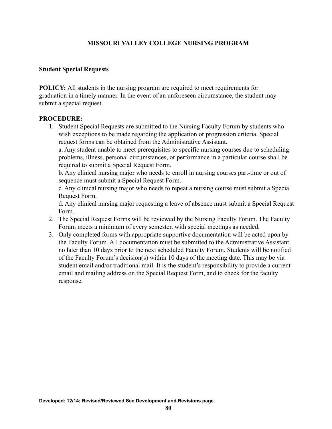#### **Student Special Requests**

**POLICY:** All students in the nursing program are required to meet requirements for graduation in a timely manner. In the event of an unforeseen circumstance, the student may submit a special request.

#### **PROCEDURE:**

1. Student Special Requests are submitted to the Nursing Faculty Forum by students who wish exceptions to be made regarding the application or progression criteria. Special request forms can be obtained from the Administrative Assistant.

a. Any student unable to meet prerequisites to specific nursing courses due to scheduling problems, illness, personal circumstances, or performance in a particular course shall be required to submit a Special Request Form.

b. Any clinical nursing major who needs to enroll in nursing courses part-time or out of sequence must submit a Special Request Form.

c. Any clinical nursing major who needs to repeat a nursing course must submit a Special Request Form.

d. Any clinical nursing major requesting a leave of absence must submit a Special Request Form.

- 2. The Special Request Forms will be reviewed by the Nursing Faculty Forum. The Faculty Forum meets a minimum of every semester, with special meetings as needed.
- 3. Only completed forms with appropriate supportive documentation will be acted upon by the Faculty Forum. All documentation must be submitted to the Administrative Assistant no later than 10 days prior to the next scheduled Faculty Forum. Students will be notified of the Faculty Forum's decision(s) within 10 days of the meeting date. This may be via student email and/or traditional mail. It is the student's responsibility to provide a current email and mailing address on the Special Request Form, and to check for the faculty response.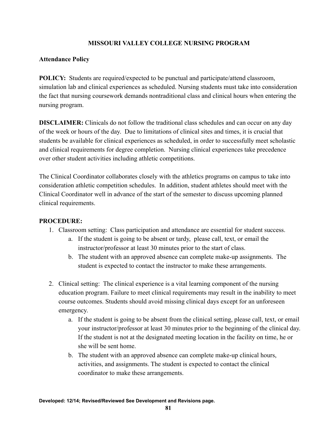## **Attendance Policy**

**POLICY:** Students are required/expected to be punctual and participate/attend classroom, simulation lab and clinical experiences as scheduled. Nursing students must take into consideration the fact that nursing coursework demands nontraditional class and clinical hours when entering the nursing program.

**DISCLAIMER:** Clinicals do not follow the traditional class schedules and can occur on any day of the week or hours of the day. Due to limitations of clinical sites and times, it is crucial that students be available for clinical experiences as scheduled, in order to successfully meet scholastic and clinical requirements for degree completion. Nursing clinical experiences take precedence over other student activities including athletic competitions.

The Clinical Coordinator collaborates closely with the athletics programs on campus to take into consideration athletic competition schedules. In addition, student athletes should meet with the Clinical Coordinator well in advance of the start of the semester to discuss upcoming planned clinical requirements.

- 1. Classroom setting: Class participation and attendance are essential for student success.
	- a. If the student is going to be absent or tardy, please call, text, or email the instructor/professor at least 30 minutes prior to the start of class.
	- b. The student with an approved absence can complete make-up assignments. The student is expected to contact the instructor to make these arrangements.
- 2. Clinical setting: The clinical experience is a vital learning component of the nursing education program. Failure to meet clinical requirements may result in the inability to meet course outcomes. Students should avoid missing clinical days except for an unforeseen emergency.
	- a. If the student is going to be absent from the clinical setting, please call, text, or email your instructor/professor at least 30 minutes prior to the beginning of the clinical day. If the student is not at the designated meeting location in the facility on time, he or she will be sent home.
	- b. The student with an approved absence can complete make-up clinical hours, activities, and assignments. The student is expected to contact the clinical coordinator to make these arrangements.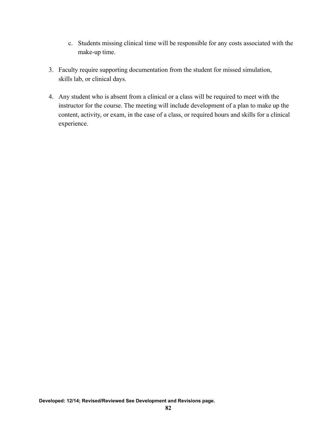- c. Students missing clinical time will be responsible for any costs associated with the make-up time.
- 3. Faculty require supporting documentation from the student for missed simulation, skills lab, or clinical days.
- 4. Any student who is absent from a clinical or a class will be required to meet with the instructor for the course. The meeting will include development of a plan to make up the content, activity, or exam, in the case of a class, or required hours and skills for a clinical experience.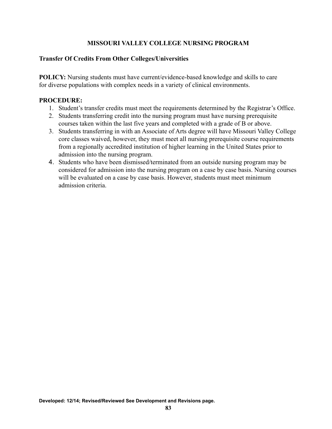## **Transfer Of Credits From Other Colleges/Universities**

**POLICY:** Nursing students must have current/evidence-based knowledge and skills to care for diverse populations with complex needs in a variety of clinical environments.

- 1. Student's transfer credits must meet the requirements determined by the Registrar's Office.
- 2. Students transferring credit into the nursing program must have nursing prerequisite courses taken within the last five years and completed with a grade of B or above.
- 3. Students transferring in with an Associate of Arts degree will have Missouri Valley College core classes waived, however, they must meet all nursing prerequisite course requirements from a regionally accredited institution of higher learning in the United States prior to admission into the nursing program.
- 4. Students who have been dismissed/terminated from an outside nursing program may be considered for admission into the nursing program on a case by case basis. Nursing courses will be evaluated on a case by case basis. However, students must meet minimum admission criteria.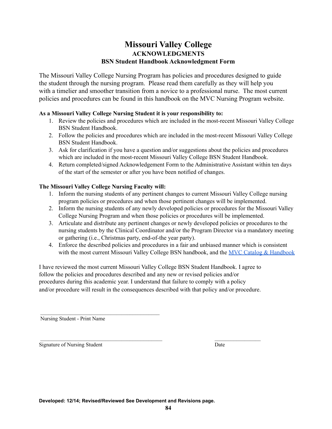## **Missouri Valley College ACKNOWLEDGMENTS BSN Student Handbook Acknowledgment Form**

The Missouri Valley College Nursing Program has policies and procedures designed to guide the student through the nursing program. Please read them carefully as they will help you with a timelier and smoother transition from a novice to a professional nurse. The most current policies and procedures can be found in this handbook on the MVC Nursing Program website.

#### **As a Missouri Valley College Nursing Student it is your responsibility to:**

- 1. Review the policies and procedures which are included in the most-recent Missouri Valley College BSN Student Handbook.
- 2. Follow the policies and procedures which are included in the most-recent Missouri Valley College BSN Student Handbook.
- 3. Ask for clarification if you have a question and/or suggestions about the policies and procedures which are included in the most-recent Missouri Valley College BSN Student Handbook.
- 4. Return completed/signed Acknowledgement Form to the Administrative Assistant within ten days of the start of the semester or after you have been notified of changes.

#### **The Missouri Valley College Nursing Faculty will:**

- 1. Inform the nursing students of any pertinent changes to current Missouri Valley College nursing program policies or procedures and when those pertinent changes will be implemented.
- 2. Inform the nursing students of any newly developed policies or procedures for the Missouri Valley College Nursing Program and when those policies or procedures will be implemented.
- 3. Articulate and distribute any pertinent changes or newly developed policies or procedures to the nursing students by the Clinical Coordinator and/or the Program Director via a mandatory meeting or gathering (i.e., Christmas party, end-of-the year party).
- 4. Enforce the described policies and procedures in a fair and unbiased manner which is consistent with the most current Missouri Valley College BSN handbook, and the MVC Catalog & [Handbook](https://www.moval.edu/academics/academic-catalog/)

I have reviewed the most current Missouri Valley College BSN Student Handbook. I agree to follow the policies and procedures described and any new or revised policies and/or procedures during this academic year. I understand that failure to comply with a policy and/or procedure will result in the consequences described with that policy and/or procedure.

Nursing Student - Print Name

Signature of Nursing Student Date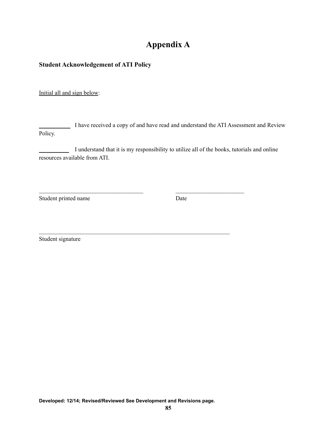# **Appendix A**

## **Student Acknowledgement of ATI Policy**

Initial all and sign below:

\_\_\_\_\_\_\_\_\_\_ I have received a copy of and have read and understand the ATI Assessment and Review Policy.

I understand that it is my responsibility to utilize all of the books, tutorials and online resources available from ATI.

 $\mathcal{L}_\text{max}$  and the contract of the contract of the contract of the contract of the contract of the contract of

 $\mathcal{L}_\text{max} = \frac{1}{2} \sum_{i=1}^n \mathcal{L}_\text{max}(\mathbf{z}_i - \mathbf{z}_i)$ 

Student printed name Date

Student signature